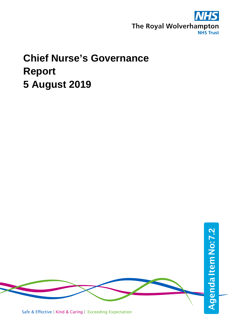

# **Chief Nurse's Governance Report 5 August 2019**

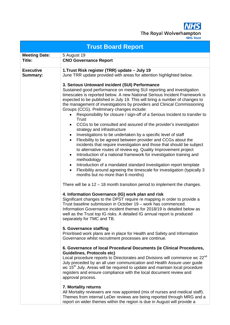**NHS** The Royal Wolverhampton

| <b>Trust Board Report</b>    |                                                                                                                                                                                                                                                                                                                                                                                                                                                                                                                                                                                                                                                                                                                                                                                                                                                                                                                                                                                                                                                                                                                                                                                                                                                                                                                                                                                                                                                                                                                                                                                                                                                                                                                                                                                                                                                                                                                                                                                                                                                                                                                                                                                                                                                                                                                                                              |  |  |  |  |  |
|------------------------------|--------------------------------------------------------------------------------------------------------------------------------------------------------------------------------------------------------------------------------------------------------------------------------------------------------------------------------------------------------------------------------------------------------------------------------------------------------------------------------------------------------------------------------------------------------------------------------------------------------------------------------------------------------------------------------------------------------------------------------------------------------------------------------------------------------------------------------------------------------------------------------------------------------------------------------------------------------------------------------------------------------------------------------------------------------------------------------------------------------------------------------------------------------------------------------------------------------------------------------------------------------------------------------------------------------------------------------------------------------------------------------------------------------------------------------------------------------------------------------------------------------------------------------------------------------------------------------------------------------------------------------------------------------------------------------------------------------------------------------------------------------------------------------------------------------------------------------------------------------------------------------------------------------------------------------------------------------------------------------------------------------------------------------------------------------------------------------------------------------------------------------------------------------------------------------------------------------------------------------------------------------------------------------------------------------------------------------------------------------------|--|--|--|--|--|
| <b>Meeting Date:</b>         | 5 August 19                                                                                                                                                                                                                                                                                                                                                                                                                                                                                                                                                                                                                                                                                                                                                                                                                                                                                                                                                                                                                                                                                                                                                                                                                                                                                                                                                                                                                                                                                                                                                                                                                                                                                                                                                                                                                                                                                                                                                                                                                                                                                                                                                                                                                                                                                                                                                  |  |  |  |  |  |
| Title:                       | <b>CNO Governance Report</b>                                                                                                                                                                                                                                                                                                                                                                                                                                                                                                                                                                                                                                                                                                                                                                                                                                                                                                                                                                                                                                                                                                                                                                                                                                                                                                                                                                                                                                                                                                                                                                                                                                                                                                                                                                                                                                                                                                                                                                                                                                                                                                                                                                                                                                                                                                                                 |  |  |  |  |  |
| <b>Executive</b><br>Summary: | 1. Trust Risk register (TRR) update - July 19<br>June TRR update provided with areas for attention highlighted below.                                                                                                                                                                                                                                                                                                                                                                                                                                                                                                                                                                                                                                                                                                                                                                                                                                                                                                                                                                                                                                                                                                                                                                                                                                                                                                                                                                                                                                                                                                                                                                                                                                                                                                                                                                                                                                                                                                                                                                                                                                                                                                                                                                                                                                        |  |  |  |  |  |
|                              | 3. Serious Untoward incident (SUI) Performance<br>Sustained good performance on meeting SUI reporting and investigation<br>timescales is reported below. A new National Serious Incident Framework is<br>expected to be published in July 19. This will bring a number of changes to<br>the management of investigations by providers and Clinical Commissioning<br>Groups (CCG). Preliminary changes include:<br>Responsibility for closure / sign-off of a Serious Incident to transfer to<br>$\bullet$<br>Trust<br>CCGs to be consulted and assured of the provider's investigation<br>$\bullet$<br>strategy and infrastructure<br>Investigations to be undertaken by a specific level of staff<br>$\bullet$<br>Flexibility to be agreed between provider and CCGs about the<br>$\bullet$<br>incidents that require investigation and those that should be subject<br>to alternative routes of review eg. Quality Improvement project<br>Introduction of a national framework for investigation training and<br>$\bullet$<br>methodology<br>Introduction of a mandated standard investigation report template<br>$\bullet$<br>Flexibility around agreeing the timescale for investigation (typically 3<br>months but no more than 6 months)<br>There will be a $12 - 18$ month transition period to implement the changes.<br>4. Information Governance (IG) work plan and risk<br>Significant changes to the DPST require re mapping in order to provide a<br>Trust baseline submission in October 19 - work has commenced.<br>Information Governance incident themes for 2018/19 is detailed below as<br>well as the Trust top IG risks. A detailed IG annual report is produced<br>separately for TMC and TB.<br>5. Governance staffing<br>Prioritised work plans are in place for Health and Safety and Information<br>Governance whilst recruitment processes are continue.<br>6. Governance of local Procedural Documents (ie Clinical Procedures,<br><b>Guidelines, Protocols etc)</b><br>Local procedure reports to Directorates and Divisions will commence wc 22 <sup>nd</sup><br>July preceded by an all user communication and Health Assure user guide<br>wc 15 <sup>th</sup> July. Areas will be required to update and maintain local procedure<br>registers and ensure compliance with the local document review and<br>approval process. |  |  |  |  |  |
|                              | 7. Mortality returns<br>All Mortality reviewers are now appointed (mix of nurses and medical staff).<br>Themes from internal LeDer reviews are being reported through MRG and a<br>report on wider themes within the region is due in August will provide a                                                                                                                                                                                                                                                                                                                                                                                                                                                                                                                                                                                                                                                                                                                                                                                                                                                                                                                                                                                                                                                                                                                                                                                                                                                                                                                                                                                                                                                                                                                                                                                                                                                                                                                                                                                                                                                                                                                                                                                                                                                                                                  |  |  |  |  |  |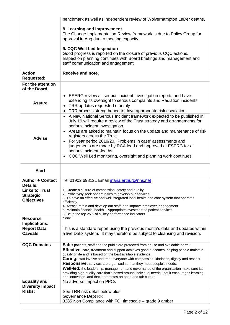|                                          | benchmark as well as independent review of Wolverhampton LeDer deaths.                                                                                                             |
|------------------------------------------|------------------------------------------------------------------------------------------------------------------------------------------------------------------------------------|
|                                          | 8. Learning and Improvement                                                                                                                                                        |
|                                          | The Change Implementation Review framework is due to Policy Group for                                                                                                              |
|                                          | approval in Aug due to meeting capacity.                                                                                                                                           |
|                                          |                                                                                                                                                                                    |
|                                          | 9. CQC Well Led Inspection<br>Good progress is reported on the closure of previous CQC actions.                                                                                    |
|                                          | Inspection planning continues with Board briefings and management and                                                                                                              |
|                                          | staff communication and engagement.                                                                                                                                                |
| <b>Action</b>                            | Receive and note,                                                                                                                                                                  |
| <b>Requested:</b>                        |                                                                                                                                                                                    |
| For the attention                        |                                                                                                                                                                                    |
| of the Board                             |                                                                                                                                                                                    |
|                                          | • ESERG review all serious incident investigation reports and have                                                                                                                 |
| <b>Assure</b>                            | extending its oversight to serious complaints and Radiation incidents.<br>TRR updates requested monthly                                                                            |
|                                          | $\bullet$<br>TRR process strengthened to drive appropriate risk escalation.                                                                                                        |
|                                          | • A New National Serious Incident framework expected to be published in                                                                                                            |
|                                          | July 19 will require a review of the Trust strategy and arrangements for                                                                                                           |
|                                          | serious incident investigation.                                                                                                                                                    |
|                                          | • Areas are asked to maintain focus on the update and maintenance of risk<br>registers across the Trust.                                                                           |
| <b>Advise</b>                            | • For year period 2019/20, 'Problems in case' assessments and                                                                                                                      |
|                                          | judgements are made by RCA lead and approved at ESERG for all                                                                                                                      |
|                                          | serious incident deaths.                                                                                                                                                           |
|                                          | • CQC Well Led monitoring, oversight and planning work continues.                                                                                                                  |
|                                          |                                                                                                                                                                                    |
| <b>Alert</b>                             |                                                                                                                                                                                    |
| <b>Author + Contact</b>                  | Tel 01902 698121 Email maria.arthur@nhs.net                                                                                                                                        |
| <b>Details:</b>                          |                                                                                                                                                                                    |
| <b>Links to Trust</b>                    | 1. Create a culture of compassion, safety and quality                                                                                                                              |
| <b>Strategic</b>                         | 2. Proactively seek opportunities to develop our services<br>3. To have an effective and well integrated local health and care system that operates                                |
| <b>Objectives</b>                        | efficiently                                                                                                                                                                        |
|                                          | 4. Attract, retain and develop our staff, and improve employee engagement<br>5. Maintain financial health - Appropriate investment to patient services                             |
| <b>Resource</b>                          | 6. Be in the top 25% of all key performance indicators<br>None                                                                                                                     |
| Implications:                            |                                                                                                                                                                                    |
| <b>Report Data</b>                       | This is a standard report using the previous month's data and updates within                                                                                                       |
| <b>Caveats</b>                           | a live Datix system. It may therefore be subject to cleansing and revision.                                                                                                        |
|                                          |                                                                                                                                                                                    |
| <b>CQC Domains</b>                       | Safe: patients, staff and the public are protected from abuse and avoidable harm.<br><b>Effective:</b> care, treatment and support achieves good outcomes, helping people maintain |
|                                          | quality of life and is based on the best available evidence.                                                                                                                       |
|                                          | <b>Caring:</b> staff involve and treat everyone with compassion, kindness, dignity and respect.                                                                                    |
|                                          | <b>Responsive:</b> services are organised so that they meet people's needs.<br>Well-led: the leadership, management and governance of the organisation make sure it's              |
|                                          | providing high-quality care that's based around individual needs, that it encourages learning                                                                                      |
|                                          |                                                                                                                                                                                    |
|                                          | and innovation, and that it promotes an open and fair culture.                                                                                                                     |
| <b>Equality and</b>                      | No adverse impact on PPCs                                                                                                                                                          |
| <b>Diversity Impact</b><br><b>Risks:</b> | See TRR risk detail below plus                                                                                                                                                     |
|                                          | <b>Governance Dept RR:</b><br>3285 Non Compliance with FOI timescale – grade 9 amber                                                                                               |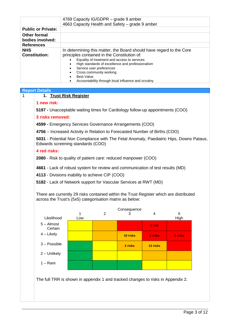|                                    | 4769 Capacity IG/GDPR - grade 9 amber<br>4663 Capacity Health and Safety - grade 9 amber                                                                                                                                                                                                                                                                          |
|------------------------------------|-------------------------------------------------------------------------------------------------------------------------------------------------------------------------------------------------------------------------------------------------------------------------------------------------------------------------------------------------------------------|
| <b>Public or Private:</b>          |                                                                                                                                                                                                                                                                                                                                                                   |
| Other formal<br>bodies involved:   |                                                                                                                                                                                                                                                                                                                                                                   |
| <b>References</b>                  |                                                                                                                                                                                                                                                                                                                                                                   |
| <b>NHS</b><br><b>Constitution:</b> | In determining this matter, the Board should have regard to the Core<br>principles contained in the Constitution of:<br>Equality of treatment and access to services<br>High standards of excellence and professionalism<br>$\bullet$<br>Service user preferences<br>Cross community working<br>Best Value<br>Accountability through local influence and scrutiny |

#### **Report Details**

#### **1 new risk:**

**5197 -** Unacceptable waiting times for Cardiology follow-up appointments (COO)

#### **3 risks removed:**

**4599 -** Emergency Services Governance Arrangements (COO)

**4756** – Increased Activity in Relation to Forecasted Number of Births (COO)

**5031** - Potential Non Compliance with The Fetal Anomaly, Paediatric Hips, Downs Pataus, Edwards screening standards (COO)

#### **4 red risks:**

**2080** - Risk to quality of patient care: reduced manpower (COO)

**4661** - Lack of robust system for review and communication of test results (MD)

**4113** - Divisions inability to achieve CIP (COO)

**5182** - Lack of Network support for Vascular Services at RWT (MD)

There are currently 29 risks contained within the Trust Register which are distributed across the Trust's (5x5) categorisation matrix as below:



The full TRR is shown in appendix 1 and tracked changes to risks in Appendix 2.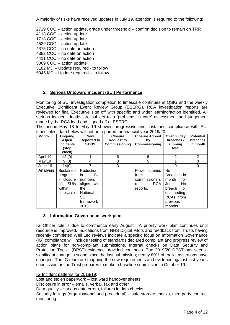A majority of risks have received updates in July 19, attention is required to the following:

2719 COO – action update, grade under threshold – confirm decision to remain on TRR

4113 COO – action update

- 1713 COO action update
- 4529 COO action update
- 4375 COO no date on action

4382 COO – no date on action

4411 COO – no date on action

5069 COO – action update

5182 MD – Update required - to follow

5045 MD – Update required – to follow

# **2. Serious Untoward incident (SUI) Performance**

Monitoring of SUI investigation completion to timescale continues at QSIG and the weekly Executive Significant Event Review Group (ESERG). RCA investigation reports are reviewed for final Executive sign off with specific and wider learning/action identified. All serious incident deaths are subject to a 'problems in care' assessment and judgement made by the RCA lead and signed off at ESERG.

The period May 18 to May 19 showed progressive and sustained compliance with SUI timescales, data below will not be reported for financial year 2019/20.

| <b>Month</b>    | Ongoing<br>/Open<br>incidents<br>(stop<br>clock)                                 | <b>New</b><br><b>Reported to</b><br><b>STEIS</b>                                                                | <b>Closure</b><br><b>Request to</b><br>Commissioning | <b>Closure Agreed</b><br>by<br>Commissioning                    | Over 60 day<br>breaches -<br>running<br>total                                                                       | <b>Potential</b><br>breaches<br>in month |
|-----------------|----------------------------------------------------------------------------------|-----------------------------------------------------------------------------------------------------------------|------------------------------------------------------|-----------------------------------------------------------------|---------------------------------------------------------------------------------------------------------------------|------------------------------------------|
| April 19        | 12(0)                                                                            |                                                                                                                 | 6                                                    | 6                                                               | 2                                                                                                                   | $\overline{2}$                           |
| May 19          | 9(0)                                                                             | 4                                                                                                               | 3                                                    | 5                                                               |                                                                                                                     | 0                                        |
| June 19         | 14(0)                                                                            | 7                                                                                                               | 3                                                    |                                                                 | 0                                                                                                                   | 0                                        |
| <b>Analysis</b> | Sustained<br>progress<br>in closure<br><b>SUIS</b><br>οf<br>within<br>timescale. | Reduction<br><b>SUI</b><br>in.<br>numbers<br>aligns with<br>the<br>National<br><b>SUI</b><br>framework<br>2015. |                                                      | Fewer queries<br>from<br>commissioners<br>RCA<br>re<br>reports. | No<br>Breaches in<br>month<br>for<br>No<br>June.<br>breach<br>or<br>outstanding<br>RCAs from<br>previous<br>months. |                                          |

#### **3. Information Governance work plan**

IG Officer role is due to commence early August. A priority work plan continues until resource is improved. Indications from NHS Digital Pilots and feedback from Trusts having recently completed Well Led reviews indicate a specific focus on Information Governance (IG) compliance will include testing of standards declared compliant and progress review of action plans for non-compliant submissions. Internal checks on Data Security and Protection Toolkit (DPST) evidence provided continues. The 2019/20 DPST has seen a significant change in scope since the last submission; nearly 80% of toolkit assertions have changed. The IG team are mapping the new requirements and evidence against last year's submission as the Trust prepares to make a baseline submission in October 19.

#### IG Incident patterns for 2018/19:

Lost and stolen paperwork – lost ward handover sheets Disclosure in error – emails, verbal, fax and other Data quality – various data errors, failures in data checks Security failings (organisational and procedural) – safe storage checks, third party contract monitoring.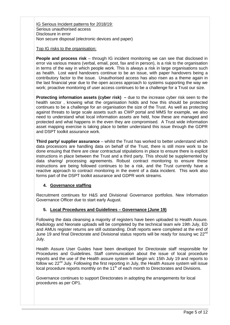IG Serious Incident patterns for 2018/19: Serious unauthorised access Disclosure in error Non secure disposal (electronic devices and paper)

#### Top IG risks to the organisation:

**People and process risk** – through IG incident monitoring we can see that disclosed in error via various means (verbal, email, post, fax and in person), is a risk to the organisation in terms of the way in which people work. This is always a risk in large organisations such as health. Lost ward handovers continue to be an issue, with paper handovers being a contributory factor to the issue. Unauthorised access has also risen as a theme again in the last financial year due to the open access approach to systems supporting the way we work; proactive monitoring of user access continues to be a challenge for a Trust our size.

**Protecting information assets (cyber risk)** – due to the increase cyber risk seen to the health sector , knowing what the organisation holds and how this should be protected continues to be a challenge for an organisation the size of the Trust. As well as protecting against threats to large scale assets such as CWP portal and MMS for example, we also need to understand what local information assets are held, how these are managed and protected and what happens in the even they are compromised. A Trust wide information asset mapping exercise is taking place to better understand this issue through the GDPR and DSPT toolkit assurance work.

**Third party/ supplier assurance** – whilst the Trust has worked to better understand which data processors are handling data on behalf of the Trust, there is still more work to be done ensuing that there are clear contractual stipulations in place to ensure there is explicit instructions in place between the Trust and a third party. This should be supplemented by data sharing/ processing agreements. Robust contract monitoring to ensure these instructions are being followed continues to be a risk, and the Trust currently have a reactive approach to contract monitoring in the event of a data incident. This work also forms part of the DSPT toolkit assurance and GDPR work streams.

# **4. Governance staffing**

Recruitment continues for H&S and Divisional Governance portfolios. New Information Governance Officer due to start early August.

# **5. Local Procedures and Guidelines – Governance (June 19)**

Following the data cleansing a majority of registers have been uploaded to Health Assure. Radiology and Neonate uploads will be completed by the technical team w/e 19th July, ED and AMUs register returns are still outstanding. Draft reports were completed at the end of June 19 and final Directorate and Divisional status reports will be ready for issuing wc 22<sup>nd</sup> July.

Health Assure User Guides have been developed for Directorate staff responsible for Procedures and Guidelines. Staff communication about the issue of local procedure reports and the use of the Health assure system will begin w/c 15th July 19 and reports to follow wc 22<sup>nd</sup> July. Following the first reporting in July, the Health Assure system will issue local procedure reports monthly on the 11<sup>th</sup> of each month to Directorates and Divisions.

Governance continues to support Directorates in adopting the arrangements for local procedures as per OP1.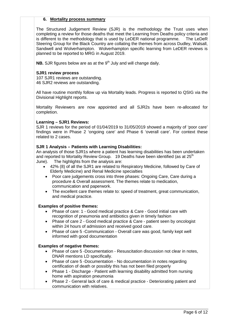#### **6. Mortality process summary**

The Structured Judgement Review (SJR) is the methodology the Trust uses when completing a review for those deaths that meet the Learning from Deaths policy criteria and is different to the methodology that is used by LeDER national programme. The LeDeR Steering Group for the Black Country are collating the themes from across Dudley, Walsall, Sandwell and Wolverhampton. Wolverhampton specific learning from LeDER reviews is planned to be reported to MRG in August 2019.

**NB.** SJR figures below are as at the 9<sup>th</sup> July and will change daily.

#### **SJR1 review process**

107 SJR1 reviews are outstanding. 46 SJR2 reviews are outstanding.

All have routine monthly follow up via Mortality leads. Progress is reported to QSIG via the Divisional Highlight reports.

Mortality Reviewers are now appointed and all SJR2s have been re-allocated for completion.

#### **Learning – SJR1 Reviews:**

SJR 1 reviews for the period of 01/04/2019 to 31/05/2019 showed a majority of 'poor care' findings were in Phase 2 'ongoing care' and Phase 6 'overall care'. For context these related to 2 cases.

#### **SJR 1 Analysis – Patients with Learning Disabilities:**

An analysis of those SJR1s where a patient has learning disabilities has been undertaken and reported to Mortality Review Group. 19 Deaths have been identified (as at 25<sup>th</sup>) June). The highlights from the analysis are:

- 42% (8) of all the SJR1 are related to Respiratory Medicine, followed by Care of Elderly Medicine) and Renal Medicine specialties
	- Poor care judgements cross into three phases: Ongoing Care, Care during a procedure & Overall assessment. The themes relate to medication, communication and paperwork.
	- The excellent care themes relate to: speed of treatment, great communication, and medical practice.

#### **Examples of positive themes:**

- Phase of care: 1 Good medical practice & Care Good initial care with recognition of pneumonia and antibiotics given in timely fashion
- Phase of care 2 Good medical practice & Care patient seen by oncologist within 24 hours of admission and received good care.
- Phase of care 5 -Communication Overall care was good, family kept well informed with good documentation

#### **Examples of negative themes:**

- Phase of care 5 -Documentation Resuscitation discussion not clear in notes, DNAR mentions LD specifically.
- Phase of care 5 -Documentation No documentation in notes regarding certification of death or possibly this has not been filed properly
- Phase 1 Discharge Patient with learning disability admitted from nursing home with aspiration pneumonia
- Phase 2 General lack of care & medical practice Deteriorating patient and communication with relatives.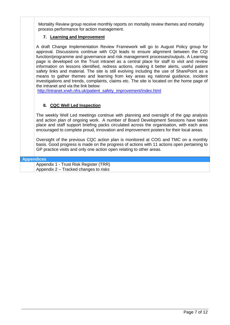Mortality Review group receive monthly reports on mortality review themes and mortality process performance for action management.

### **7. Learning and Improvement**

A draft Change Implementation Review Framework will go to August Policy group for approval. Discussions continue with CQI leads to ensure alignment between the CQI function/programme and governance and risk management processes/outputs. A Learning page is developed on the Trust intranet as a central place for staff to visit and review information on lessons identified, redress actions, making it better alerts, useful patient safety links and material. The site is still evolving including the use of SharePoint as a means to gather themes and learning from key areas eg national guidance, incident investigations and trends, complaints, claims etc. The site is located on the home page of the intranet and via the link below:

[http://intranet.xrwh.nhs.uk/patient\\_safety\\_improvement/index.html](http://intranet.xrwh.nhs.uk/patient_safety_improvement/index.html)

# **8. CQC Well Led Inspection**

The weekly Well Led meetings continue with planning and oversight of the gap analysis and action plan of ongoing work. A number of Board Development Sessions have taken place and staff support briefing packs circulated across the organisation, with each area encouraged to complete proud, innovation and improvement posters for their local areas.

Oversight of the previous CQC action plan is monitored at COG and TMC on a monthly basis. Good progress is made on the progress of actions with 11 actions open pertaining to GP practice visits and only one action open relating to other areas.

#### **Appendices**

Appendix 1 - Trust Risk Register (TRR) Appendix 2 – Tracked changes to risks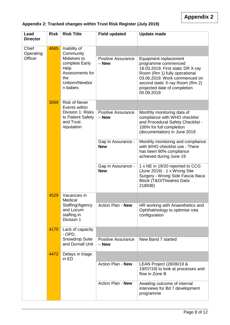| Lead<br><b>Director</b> | <b>Risk</b> | <b>Risk Title</b>                                                                            | <b>Field updated</b>                 | <b>Update made</b>                                                                                                                                                                                                                   |
|-------------------------|-------------|----------------------------------------------------------------------------------------------|--------------------------------------|--------------------------------------------------------------------------------------------------------------------------------------------------------------------------------------------------------------------------------------|
| Chief<br>Operating      | 4665        | Inability of<br>Community                                                                    |                                      |                                                                                                                                                                                                                                      |
| Officer                 |             | Midwives to<br>complete Early<br>Help<br>Assessments for<br>the<br>Unborn/Newbor<br>n babies | <b>Positive Assurance</b><br>$-$ New | Equipment replacement<br>programme commenced<br>18.03.2019. First static DR X-ray<br>Room (Rm 1) fully operational<br>03.06.2019. Work commenced on<br>second static X-ray Room (Rm 2)<br>projected date of completion<br>05.09.2019 |
|                         | 3069        | <b>Risk of Never</b><br>Events within                                                        |                                      |                                                                                                                                                                                                                                      |
|                         |             | Division 1: Risks<br>to Patient Safety<br>and Trust<br>reputation                            | <b>Positive Assurance</b><br>$-$ New | Monthly monitoring data of<br>compliance with WHO checklist<br>and Procedural Safety Checklist -<br>100% for full completion<br>(documentation) in June 2019                                                                         |
|                         |             |                                                                                              | Gap in Assurance -<br><b>New</b>     | Monthly monitoring and compliance<br>with WHO checklist use - There<br>has been 90% compliance<br>achieved during June 19                                                                                                            |
|                         |             |                                                                                              | Gap in Assurance -<br><b>New</b>     | 1 x NE in 19/20 reported to CCG<br>(June 2019) - 1 x Wrong Site<br>Surgery - Wrong Side Fascia Iliaca<br><b>Block (T&amp;O/Theatres Datix</b><br>218936)                                                                             |
|                         | 4529        | Vacancies in<br>Medical                                                                      |                                      |                                                                                                                                                                                                                                      |
|                         |             | Staffing/Agency<br>and Locum<br>staffing in<br>Division 1                                    | Action Plan - New                    | HR working with Anaesthetics and<br>Ophthalmology to optimise rota<br>configuration                                                                                                                                                  |
|                         | 4170        | Lack of capacity<br>$-$ OPD,                                                                 |                                      |                                                                                                                                                                                                                                      |
|                         |             | <b>Snowdrop Suite</b><br>and Durnall Unit                                                    | <b>Positive Assurance</b><br>$-$ New | New Band 7 started                                                                                                                                                                                                                   |
|                         | 4472        | Delays in triage<br>in ED                                                                    |                                      |                                                                                                                                                                                                                                      |
|                         |             |                                                                                              | Action Plan - New                    | LEAN Project (28/06/19 &<br>19/07/19) to look at processes and<br>flow in Zone B                                                                                                                                                     |
|                         |             |                                                                                              | Action Plan - New                    | Awaiting outcome of internal<br>interviews for Bd 7 development<br>programme                                                                                                                                                         |

# **Appendix 2: Tracked changes within Trust Risk Register (July 2019)**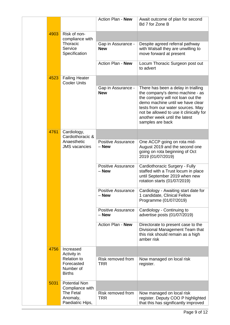|      |                                                                | Action Plan - New                    | Await outcome of plan for second<br>Bd 7 for Zone B                                                                                                                                                                                                                                  |
|------|----------------------------------------------------------------|--------------------------------------|--------------------------------------------------------------------------------------------------------------------------------------------------------------------------------------------------------------------------------------------------------------------------------------|
| 4903 | Risk of non-<br>compliance with                                |                                      |                                                                                                                                                                                                                                                                                      |
|      | Thoracic<br>Service<br>Specification                           | Gap in Assurance -<br><b>New</b>     | Despite agreed referral pathway<br>with Walsall they are unwilling to<br>move forward at present                                                                                                                                                                                     |
|      |                                                                | Action Plan - New                    | Locum Thoracic Surgeon post out<br>to advert                                                                                                                                                                                                                                         |
| 4523 | <b>Failing Heater</b><br><b>Cooler Units</b>                   |                                      |                                                                                                                                                                                                                                                                                      |
|      |                                                                | Gap in Assurance -<br><b>New</b>     | There has been a delay in trialling<br>the company's demo machine - as<br>the company will not loan out the<br>demo machine until we have clear<br>tests from our water sources. May<br>not be allowed to use it clinically for<br>another week until the latest<br>samples are back |
| 4761 | Cardiology,<br>Cardiothoracic &                                |                                      |                                                                                                                                                                                                                                                                                      |
|      | Anaesthetic<br><b>JMS</b> vacancies                            | <b>Positive Assurance</b><br>$-$ New | One ACCP going on rota mid-<br>August 2019 and the second one<br>going on rota beginning of Oct<br>2019 (01/07/2019)                                                                                                                                                                 |
|      |                                                                | <b>Positive Assurance</b><br>- New   | Cardiothoracic Surgery - Fully<br>staffed with a Trust locum in place<br>until September 2019 when new<br>rotation starts (01/07/2019)                                                                                                                                               |
|      |                                                                | <b>Positive Assurance</b><br>$-$ New | Cardiology - Awaiting start date for<br>1 candidate, Clinical Fellow<br>Programme (01/07/2019)                                                                                                                                                                                       |
|      |                                                                | <b>Positive Assurance</b><br>- New   | Cardiology - Continuing to<br>advertise posts (01/07/2019)                                                                                                                                                                                                                           |
|      |                                                                | Action Plan - New                    | Directorate to present case to the<br>Divisional Management Team that<br>this risk should remain as a high<br>amber risk                                                                                                                                                             |
| 4756 | Increased<br>Activity in                                       |                                      |                                                                                                                                                                                                                                                                                      |
|      | <b>Relation to</b><br>Forecasted<br>Number of<br><b>Births</b> | Risk removed from<br><b>TRR</b>      | Now managed on local risk<br>register.                                                                                                                                                                                                                                               |
| 5031 | <b>Potential Non</b><br>Compliance with                        |                                      |                                                                                                                                                                                                                                                                                      |
|      | <b>The Fetal</b><br>Anomaly,<br>Paediatric Hips,               | Risk removed from<br><b>TRR</b>      | Now managed on local risk<br>register. Deputy COO P highlighted<br>that this has significantly improved                                                                                                                                                                              |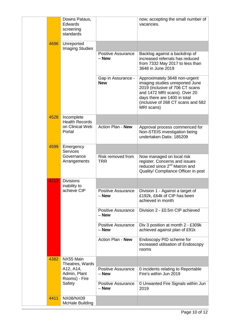|  |      | Downs Pataus,<br>Edwards<br>screening<br>standards   |                                    | now; accepting the small number of<br>vacancies.                                                                                                                                                                        |
|--|------|------------------------------------------------------|------------------------------------|-------------------------------------------------------------------------------------------------------------------------------------------------------------------------------------------------------------------------|
|  | 4696 | Unreported<br><b>Imaging Studies</b>                 |                                    |                                                                                                                                                                                                                         |
|  |      |                                                      | <b>Positive Assurance</b><br>– New | Backlog against a backdrop of<br>increased referrals has reduced<br>from 7332 May 2017 to less than<br>3648 in June 2019                                                                                                |
|  |      |                                                      | Gap in Assurance -<br><b>New</b>   | Approximately 3648 non-urgent<br>imaging studies unreported June<br>2019 (inclusive of 706 CT scans<br>and 1472 MRI scans). Over 20<br>days there are 1400 in total<br>(inclusive of 268 CT scans and 582<br>MRI scans) |
|  | 4528 | Incomplete<br><b>Health Records</b>                  |                                    |                                                                                                                                                                                                                         |
|  |      | on Clinical Web<br>Portal                            | Action Plan - New                  | Approval process commenced for<br>Non-STEIS investigation being<br>undertaken Datix: 185209                                                                                                                             |
|  | 4599 | Emergency<br><b>Services</b>                         |                                    |                                                                                                                                                                                                                         |
|  |      | Governance<br>Arrangements                           | Risk removed from<br><b>TRR</b>    | Now managed on local risk<br>register. Concerns and issues<br>reduced since 2 <sup>nd</sup> Matron and<br>Quality/ Compliance Officer in post                                                                           |
|  | 4113 | <b>Divisions</b><br>inability to                     |                                    |                                                                                                                                                                                                                         |
|  |      | achieve CIP                                          | <b>Positive Assurance</b><br>– New | Division 1 - Against a target of<br>£192k, £64k of CIP has been<br>achieved in month                                                                                                                                    |
|  |      |                                                      | <b>Positive Assurance</b><br>- New | Division 2 - £0.5m CIP achieved                                                                                                                                                                                         |
|  |      |                                                      | <b>Positive Assurance</b><br>- New | Div 3 position at month 2 - £309k<br>achieved against plan of £91k                                                                                                                                                      |
|  |      |                                                      | Action Plan - New                  | Endoscopy PID scheme for<br>increased utilisation of Endoscopy<br>rooms                                                                                                                                                 |
|  | 4382 | NX55 Main<br>Theatres, Wards                         |                                    |                                                                                                                                                                                                                         |
|  |      | A12, A14,<br>Admin, Plant<br>Rooms) - Fire<br>Safety | <b>Positive Assurance</b><br>– New | 0 incidents relating to Reportable<br>Fire's within Jun 2019                                                                                                                                                            |
|  |      |                                                      | <b>Positive Assurance</b><br>– New | 0 Unwanted Fire Signals within Jun<br>2019                                                                                                                                                                              |
|  | 4411 | NX08/NX09<br>McHale Building                         |                                    |                                                                                                                                                                                                                         |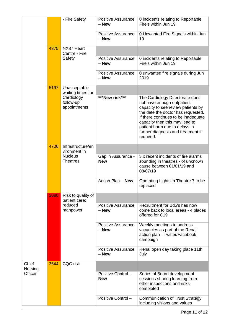|                         |      | - Fire Safety                                                          | <b>Positive Assurance</b><br>$-$ New | 0 incidents relating to Reportable<br>Fire's within Jun 19                                                                                                                                                                                                                                             |
|-------------------------|------|------------------------------------------------------------------------|--------------------------------------|--------------------------------------------------------------------------------------------------------------------------------------------------------------------------------------------------------------------------------------------------------------------------------------------------------|
|                         |      |                                                                        | <b>Positive Assurance</b><br>$-$ New | 0 Unwanted Fire Signals within Jun<br>19                                                                                                                                                                                                                                                               |
|                         | 4375 | NX87 Heart<br>Centre - Fire                                            |                                      |                                                                                                                                                                                                                                                                                                        |
|                         |      | Safety                                                                 | <b>Positive Assurance</b><br>– New   | 0 incidents relating to Reportable<br>Fire's within Jun 19                                                                                                                                                                                                                                             |
|                         |      |                                                                        | <b>Positive Assurance</b><br>- New   | 0 unwanted fire signals during Jun<br>2019                                                                                                                                                                                                                                                             |
|                         | 5197 | Unacceptable<br>waiting times for                                      |                                      |                                                                                                                                                                                                                                                                                                        |
|                         |      | Cardiology<br>follow-up<br>appointments                                | ***New risk***                       | The Cardiology Directorate does<br>not have enough outpatient<br>capacity to see review patients by<br>the date the doctor has requested.<br>If there continues to be inadequate<br>capacity then this may lead to<br>patient harm due to delays in<br>further diagnosis and treatment if<br>required. |
|                         | 4706 | Infrastructure/en<br>vironment in<br><b>Nucleus</b><br><b>Theatres</b> |                                      |                                                                                                                                                                                                                                                                                                        |
|                         |      |                                                                        | Gap in Assurance -<br><b>New</b>     | 3 x recent incidents of fire alarms<br>sounding in theatres - of unknown<br>cause between 01/01/19 and<br>08/07/19                                                                                                                                                                                     |
|                         |      |                                                                        | Action Plan - New                    | Operating Lights in Theatre 7 to be<br>replaced                                                                                                                                                                                                                                                        |
|                         | 2080 | Risk to quality of<br>patient care:                                    |                                      |                                                                                                                                                                                                                                                                                                        |
|                         |      | reduced<br>manpower                                                    | Positive Assurance<br>$-$ New        | Recruitment for Bd5's has now<br>come back to local areas - 4 places<br>offered for C19                                                                                                                                                                                                                |
|                         |      |                                                                        | <b>Positive Assurance</b><br>$-$ New | Weekly meetings to address<br>vacancies as part of the Renal<br>action plan - Twitter/Facebook<br>campaign                                                                                                                                                                                             |
|                         |      |                                                                        | <b>Positive Assurance</b><br>$-$ New | Renal open day taking place 11th<br>July                                                                                                                                                                                                                                                               |
| Chief<br><b>Nursing</b> | 3644 | CQC risk                                                               |                                      |                                                                                                                                                                                                                                                                                                        |
| Officer                 |      |                                                                        | Positive Control -<br><b>New</b>     | Series of Board development<br>sessions sharing learning from<br>other inspections and risks<br>completed                                                                                                                                                                                              |
|                         |      |                                                                        | Positive Control -                   | <b>Communication of Trust Strategy</b><br>including visions and values                                                                                                                                                                                                                                 |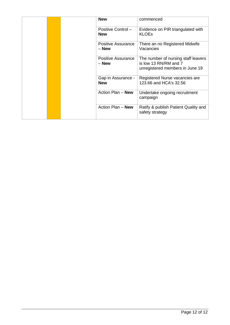|  | <b>New</b>                         | commenced                                                                                       |
|--|------------------------------------|-------------------------------------------------------------------------------------------------|
|  | Positive Control -<br><b>New</b>   | Evidence on PIR triangulated with<br><b>KLOEs</b>                                               |
|  | <b>Positive Assurance</b><br>– New | There an no Registered Midwife<br>Vacancies                                                     |
|  | <b>Positive Assurance</b><br>– New | The number of nursing staff leavers<br>is low 13 RN/RM and 7<br>unregistered members in June 19 |
|  | Gap in Assurance -<br><b>New</b>   | Registered Nurse vacancies are<br>123.66 and HCA's 32.56                                        |
|  | Action Plan - New                  | Undertake ongoing recruitment<br>campaign                                                       |
|  | Action Plan - New                  | Ratify & publish Patient Quality and<br>safety strategy                                         |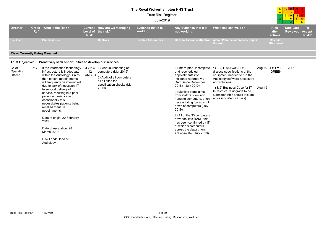# **The Royal Wolverhampton NHS Trust**

4

5

10

15

12

869

12

200 | 25 20

Trust Risk Register

|                               |                                      |                                                                                                                                                                                                                                                                                                                                                                                                                                                                                                  |                           |                                                                                                                                                        | <b>July-2019</b>                       |                                                                                                                                                                                                                                                                                                                                                                                                                                                                 |                                                                                                                                                                                                                                                                          |        |                                         | <u>246810</u><br>$3 \mid 4 \mid 5$<br>$\bullet$ |                                     |
|-------------------------------|--------------------------------------|--------------------------------------------------------------------------------------------------------------------------------------------------------------------------------------------------------------------------------------------------------------------------------------------------------------------------------------------------------------------------------------------------------------------------------------------------------------------------------------------------|---------------------------|--------------------------------------------------------------------------------------------------------------------------------------------------------|----------------------------------------|-----------------------------------------------------------------------------------------------------------------------------------------------------------------------------------------------------------------------------------------------------------------------------------------------------------------------------------------------------------------------------------------------------------------------------------------------------------------|--------------------------------------------------------------------------------------------------------------------------------------------------------------------------------------------------------------------------------------------------------------------------|--------|-----------------------------------------|-------------------------------------------------|-------------------------------------|
| <b>Director</b>               | <b>Cross</b><br><b>Ref</b>           | What is the Risk?                                                                                                                                                                                                                                                                                                                                                                                                                                                                                | Level of<br><b>Risk</b>   | Current How are we managing<br>the risk?                                                                                                               | <b>Evidence that it is</b><br>working. | Any Evidence that it is<br>not working.                                                                                                                                                                                                                                                                                                                                                                                                                         | What else can we do?                                                                                                                                                                                                                                                     |        | <b>Risk</b><br>after<br>actions         | <b>Date Last</b><br><b>Reviewed</b>             | <b>TB</b><br><b>Accept</b><br>Risk? |
| <b>Risk Lead</b>              |                                      | <b>ID</b> Principal Risk                                                                                                                                                                                                                                                                                                                                                                                                                                                                         |                           | <b>Controls</b>                                                                                                                                        | <b>Positive Assurances</b>             | <b>Gaps in Assurance/Control</b>                                                                                                                                                                                                                                                                                                                                                                                                                                | Action Plan that addresses Gaps in<br>Control                                                                                                                                                                                                                            |        | <b>Residual</b><br><b>Risk Level</b>    |                                                 |                                     |
|                               | <b>Risks Currently Being Managed</b> |                                                                                                                                                                                                                                                                                                                                                                                                                                                                                                  |                           |                                                                                                                                                        |                                        |                                                                                                                                                                                                                                                                                                                                                                                                                                                                 |                                                                                                                                                                                                                                                                          |        |                                         |                                                 |                                     |
| <b>Trust Objective:</b>       |                                      | Proactively seek opportunities to develop our services                                                                                                                                                                                                                                                                                                                                                                                                                                           |                           |                                                                                                                                                        |                                        |                                                                                                                                                                                                                                                                                                                                                                                                                                                                 |                                                                                                                                                                                                                                                                          |        |                                         |                                                 |                                     |
| Chief<br>Operating<br>Officer |                                      | 5173 If the information technology<br>infrastructure is inadequate<br>within the Audiology Clinics<br>then patient appointments<br>will frequently be interrupted<br>due to lack of necessary IT<br>to support delivery of<br>service, resulting in a poor<br>patient experience as<br>occasionally this<br>necessitates patients being<br>recalled to future<br>appointments.<br>Date of origin: 20 February<br>2019<br>Date of escalation: 28<br>March 2019<br>Risk Lead: Head of<br>Audiology | 12 <sup>12</sup><br>AMBER | $4 \times 3 = 1$ ) Manual rebooting of<br>computers (Mar 2019)<br>2) Audit of all computers<br>all all sites for<br>specification checks (Mar<br>2019) |                                        | 1) Interrupted, incomplete<br>and rescheduled<br>appointments (12<br>incidents reported via<br>Datix since December<br>2018) (July 2019)<br>1) Multiple complaints<br>from staff re: slow and<br>hanging computers, often<br>necessitating forced shut<br>down of computers (July<br>2019)<br>2) All of the 33 computers<br>have too little RAM - this<br>has been confirmed by IT<br>of which 8 computers<br>across the department<br>are obsolete (July 2019) | 1) & 2) Liaise with IT to<br>discuss specifications of the<br>equipment needed to run the<br>Audiology software necessary<br>and solutions<br>1) & 2) Business Case for IT<br>Infrastructure upgrade to be<br>submitted (this should include<br>any associated IG risks) | Aug-19 | Aug-19 $1 \times 1 = 1$<br><b>GREEN</b> | <b>Jul-19</b>                                   |                                     |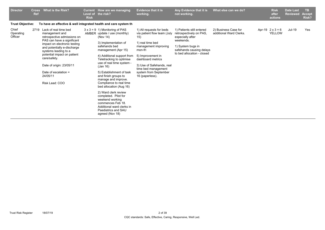| <b>Director</b>               | <b>Cross</b><br><b>Ref</b> | What is the Risk?                                                                                                                                                                                                                                                                                                                 | <b>Current</b><br>Level of<br><b>Risk</b> | How are we managing<br>the risk?                                                                                                                                                                                                                                                                                                                                                                                                                                                                                                                     | <b>Evidence that it is</b><br>working.                                                                                                                                                                                                                          | Any Evidence that it is<br>not working.                                                                                                                              | What else can we do?                            | <b>Risk</b><br>after<br>actions          | <b>Date Last</b><br><b>Reviewed</b> | <b>TB</b><br><b>Accept</b><br>Risk? |
|-------------------------------|----------------------------|-----------------------------------------------------------------------------------------------------------------------------------------------------------------------------------------------------------------------------------------------------------------------------------------------------------------------------------|-------------------------------------------|------------------------------------------------------------------------------------------------------------------------------------------------------------------------------------------------------------------------------------------------------------------------------------------------------------------------------------------------------------------------------------------------------------------------------------------------------------------------------------------------------------------------------------------------------|-----------------------------------------------------------------------------------------------------------------------------------------------------------------------------------------------------------------------------------------------------------------|----------------------------------------------------------------------------------------------------------------------------------------------------------------------|-------------------------------------------------|------------------------------------------|-------------------------------------|-------------------------------------|
| <b>Trust Objective:</b>       |                            | To have an effective & well integrated health and care system th                                                                                                                                                                                                                                                                  |                                           |                                                                                                                                                                                                                                                                                                                                                                                                                                                                                                                                                      |                                                                                                                                                                                                                                                                 |                                                                                                                                                                      |                                                 |                                          |                                     |                                     |
| Chief<br>Operating<br>Officer |                            | 2719 Lack of real time bed<br>management and<br>retrospective admissions on<br>PAS can have a significant<br>impact on electronic testing<br>and potentially e-discharge<br>systems leading to a<br>potential impact on patient<br>care/safety.<br>Date of origin: 23/05/11<br>Date of escalation =<br>24/05/11<br>Risk Lead: COO |                                           | $3 \times 3 = 9$ 1) Monitoring of PAS<br>AMBER update / use (monthly)<br>(Nov 14)<br>3) Implementation of<br>safehands bed<br>management (Apr 15)<br>4) Additional support from<br>Teletracking to optimise<br>use of real time system -<br>(Jan 16)<br>5) Establishment of task<br>and finish groups to<br>manage and improve.<br>Compliance to real time<br>bed allocation (Aug 16)<br>2) Ward clerk review<br>completed. Pilot for<br>weekend working<br>commences Feb 18.<br>Additional ward clerks in<br>Paediatrics and SAU<br>agreed (Nov 18) | 1) All requests for beds<br>via patient flow team (July<br>15)<br>1) real time bed<br>management improving<br>mon-fri<br>5) Improvement in<br>dashboard metrics<br>3) Use of Safehands, real<br>time bed management<br>system from September<br>16 (paperless). | 1) Patients still entered<br>retrospectively on PAS,<br>especially after<br>weekends.<br>1) System bugs in<br>safehands causing delays<br>to bed allocation - closed | 2) Business Case for<br>additional Ward Clerks. | Apr-19 $2 \times 3 = 6$<br><b>YELLOW</b> | Jul-19                              | Yes                                 |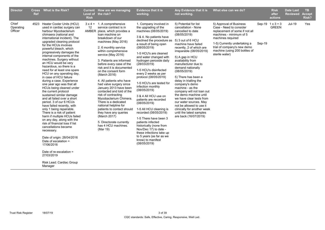| <b>Director</b><br><b>Ref</b> | Cross What is the Risk?                                                                                                                                                                                                                                                                                                                                                                                                                                                                                                                                                                                                                                                                                                                                                                                                                                                                                                                                                                                                                                     | Level of<br><b>Risk</b> | Current How are we managing<br>the risk?                                                                                                                                                                                                                                                                                                                                                                                                                                                                                                                                                                                                                                                                            | <b>Evidence that it is</b><br>working.                                                                                                                                                                                                                                                                                                                                                                                                                                                                                                                                                                                                                                                                                                 | Any Evidence that it is<br>not working.                                                                                                                                                                                                                                                                                                                                                                                                                                                                                                                                                                       | What else can we do?                                                                                                                                                                                                                                   |        | <b>Risk</b><br>after<br>actions         | <b>Date Last</b><br><b>Reviewed</b> | <b>TB</b><br><b>Accept</b><br>Risk? |
|-------------------------------|-------------------------------------------------------------------------------------------------------------------------------------------------------------------------------------------------------------------------------------------------------------------------------------------------------------------------------------------------------------------------------------------------------------------------------------------------------------------------------------------------------------------------------------------------------------------------------------------------------------------------------------------------------------------------------------------------------------------------------------------------------------------------------------------------------------------------------------------------------------------------------------------------------------------------------------------------------------------------------------------------------------------------------------------------------------|-------------------------|---------------------------------------------------------------------------------------------------------------------------------------------------------------------------------------------------------------------------------------------------------------------------------------------------------------------------------------------------------------------------------------------------------------------------------------------------------------------------------------------------------------------------------------------------------------------------------------------------------------------------------------------------------------------------------------------------------------------|----------------------------------------------------------------------------------------------------------------------------------------------------------------------------------------------------------------------------------------------------------------------------------------------------------------------------------------------------------------------------------------------------------------------------------------------------------------------------------------------------------------------------------------------------------------------------------------------------------------------------------------------------------------------------------------------------------------------------------------|---------------------------------------------------------------------------------------------------------------------------------------------------------------------------------------------------------------------------------------------------------------------------------------------------------------------------------------------------------------------------------------------------------------------------------------------------------------------------------------------------------------------------------------------------------------------------------------------------------------|--------------------------------------------------------------------------------------------------------------------------------------------------------------------------------------------------------------------------------------------------------|--------|-----------------------------------------|-------------------------------------|-------------------------------------|
| Chief<br>Operating<br>Officer | 4523 Heater Cooler Units (HCU)<br>used in cardiac surgery can<br>harbour Mycobacterium<br>chimaera (national and<br>international incident). The<br>upgraded cleaning protocol<br>for the HCUs involves<br>powerful bleach, which<br>progressively damages the<br>internal components of the<br>machines. Surgery without<br>an HCU would be very<br>hazardous, so there is a<br>need for at least one spare<br>HCU on any operating day,<br>in case of HCU failure<br>during a case. Experience<br>one year ago was that all<br>HCUs being cleaned under<br>the current protocol<br>sustained similar damage<br>and all failed over a short<br>period. 3 of our 6 HCUs<br>have failed recently, with<br>only 1 being repairable.<br>There is a risk of patient<br>harm if multiple HCUs failed<br>on any day, along with the<br>risk of financial loss if list<br>cancellations became<br>necessary.<br>Date of origin: 28/04/2016<br>Date of escalation $=$<br>17/06/2016<br>Date of re-escalation =<br>27/03/2019<br>Risk Lead: Cardiac Group<br>Manager | 12                      | $3 \times 4 = 1$ . A comprehensive<br>service contract is in<br>AMBER place, which provides a<br>loan machine on<br>breakdown of our<br>machines (May 2016)<br>2. 6 monthly service<br>within comprehensive<br>service (May 2016)<br>3. Patients are informed<br>before every case of the<br>risk and it is documented<br>on the consent form<br>(March 2016)<br>4. All patients who have<br>had valve surgery since<br>January 2013 have been<br>contacted and told of the<br>risk of contracting<br>Mycobacterium Chimera.<br>There is a dedicated<br>national helpline for<br>patients to contact should<br>they have any queries<br>(March 2017)<br>5. Directorate currently<br>has 4 HCU machines.<br>(Mar 19) | 1. Company involved in<br>the upgrading of the<br>machines (08/05/2019)<br>3 & 4. No patients have<br>declined the procedure as<br>a result of being open<br>(08/05/2019)<br>1-5 HCU's are cleaned<br>and water changed with<br>hydrogen peroxide daily<br>(28/03/2019)<br>1-5 HCU's disinfected<br>every 2 weeks as per<br>protocol (08/05/2019)<br>1-5 HCU's are tested for<br>infection monthly<br>(08/05/2019)<br>3 & 4 All HCU use on<br>patients are recorded<br>(08/05/2019)<br>1-5 All HCU cleaning is<br>recorded (08/05/2019)<br>1-5 There have been 3<br>patients infected<br>historically (none from<br>Nov/Dec 17) to date -<br>these infections take up<br>to 5 years (as far as we<br>know) to manifest<br>(08/05/2019) | 5) Potential for list<br>cancellation - None<br>cancelled to date<br>(08/05/2019)<br>5) 3 out of 6 HCU<br>machine have failed<br>recently, 2 of which are<br>irreparable (08/05/2019)<br>5) A gap in HCU<br>availability from<br>manufacturer due to<br>demand nationally<br>(08/05/2019)<br>5) There has been a<br>delay in trialling the<br>company's demo<br>machine - as the<br>company will not loan out<br>the demo machine until<br>we have clear tests from<br>our water sources. May<br>not be allowed to use it<br>clinically for another week<br>until the latest samples<br>are back (16/07/2019) | 5) Approval of Business<br>Case - Need to consider<br>replacement of some if not all<br>machines - minimum of 5<br>machines required<br>1-5) Currently undertaking a<br>trial of company's new demo<br>machine (using 200 bottles of<br>sterile water) | Sep-19 | Sep-19 $1 \times 3 = 3$<br><b>GREEN</b> | Jul-19                              | Yes                                 |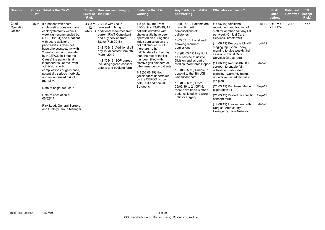| <b>Director</b>               | <b>Cross</b><br><b>Ref</b> | What is the Risk?                                                                                                                                                                                                                                                                                                                                                                                                                                                                                                                                                                                      | <b>Risk</b>                          | Current How are we managing<br>Level of the risk?                                                                                                                                                                                                                                                         | <b>Evidence that it is</b><br>working.                                                                                                                                                                                                                                                                                                                                                                                                                               | Any Evidence that it is<br>not working.                                                                                                                                                                                                                                                                                                                                                                                                                                    | What else can we do?                                                                                                                                                                                                                                                                                                                                                                                                                                                                                                                                                                                                                                    |                                                | <b>Risk</b><br>after<br>actions          | <b>Date Last</b><br><b>Reviewed</b> | <b>TB</b><br><b>Accept</b><br><b>Risk?</b> |
|-------------------------------|----------------------------|--------------------------------------------------------------------------------------------------------------------------------------------------------------------------------------------------------------------------------------------------------------------------------------------------------------------------------------------------------------------------------------------------------------------------------------------------------------------------------------------------------------------------------------------------------------------------------------------------------|--------------------------------------|-----------------------------------------------------------------------------------------------------------------------------------------------------------------------------------------------------------------------------------------------------------------------------------------------------------|----------------------------------------------------------------------------------------------------------------------------------------------------------------------------------------------------------------------------------------------------------------------------------------------------------------------------------------------------------------------------------------------------------------------------------------------------------------------|----------------------------------------------------------------------------------------------------------------------------------------------------------------------------------------------------------------------------------------------------------------------------------------------------------------------------------------------------------------------------------------------------------------------------------------------------------------------------|---------------------------------------------------------------------------------------------------------------------------------------------------------------------------------------------------------------------------------------------------------------------------------------------------------------------------------------------------------------------------------------------------------------------------------------------------------------------------------------------------------------------------------------------------------------------------------------------------------------------------------------------------------|------------------------------------------------|------------------------------------------|-------------------------------------|--------------------------------------------|
| Chief<br>Operating<br>Officer | 4596                       | If a patient with acute<br>cholecystitis does not have<br>cholecystectomy within 1<br>week (as recommended by<br>NICE QS104) and a patient<br>with acute gallstone<br>pancreatitis is does not<br>have cholecystectomy within<br>2 weeks (as recommended<br>by NCEPOD in Treat the<br>Cause) the patient is at<br>increased risk of recurrent<br>admissions with<br>complications of gallstones,<br>potentially serious morbidity<br>and an increased risk of<br>mortality.<br>Date of origin: 09/08/16<br>Date of escalation =<br>06/02/17<br>Risk Lead: General Surgery<br>and Urology Group Manager | $4 \times 3 =$<br>12<br><b>AMBER</b> | 2. SLA with Stoke<br>reversed to bring<br>additional resources from<br>current RWT Consultant<br>and buy service from<br>Stoke (Feb 2018)<br>3 (21/03/19) Additional all<br>day list allocated from 5th<br>March 2019<br>4 (21/03/19) SOP agreed<br>including agreed consent<br>criteria and booking form | 1-3 (03.06.19) From<br>05/03/19 to 21/05/19, 11<br>patients admitted with<br>cholecystitis have been<br>operated on during their<br>index admission on the<br>hot gallbladder list (If<br>there are no hot<br>gallbladders for that day,<br>then the rest of the list<br>has been filled with<br>elective gall bladders or<br>other emergency patients)<br>1-3 (03.06.19) Hot<br>gallbladders undertaken<br>on the CEPOD list by<br>both UGI and non UGI<br>Surgeons | 1 (08.05.19) Patients are<br>presenting with<br>complications of<br>qallstones<br>1 (05.07.18) Local audit<br>showing recurrent<br>admissions<br>1-3 (08.05.19) Highlight<br>as a 'service at risk' to<br>Division and as part of<br><b>Medical Workforce Report</b><br>1-3 (08.05.19) Unable to<br>appoint to the 4th UGI<br>Consultant post<br>1-3 (03.06.19) From<br>05/03/19 to 21/05/19.<br>there have been 6 other<br>patients listed who were<br>unfit for surgery. | (14.06.19) Additional<br>recruitment and training of<br>staff for another half day list<br>per week (Critical Care<br>Services Directorate)<br>(14.06.19) Re-locate UHNM<br>staging lap list on Friday<br>morning to give weekly 3rd<br>session (Critical Care<br>Services Directorate)<br>(14.06.19) Recruit 4th UGI<br>surgeon to enable full<br>utilisation of allocated<br>capacity. Currently being<br>undertaken as additional to<br>job plan<br>(21.03.19) Purchase bile duct<br>exploration kit<br>(21.03.19) Procedure specific<br>consent form<br>(14.06.19) Involvement with<br><b>Surgical Ambulatory</b><br><b>Emergency Care Network.</b> | Jul-19<br>Mar-20<br>Sep-19<br>Sep-19<br>Mar-20 | Jul-19 $2 \times 2 = 4$<br><b>YELLOW</b> | Jul-19                              | Yes                                        |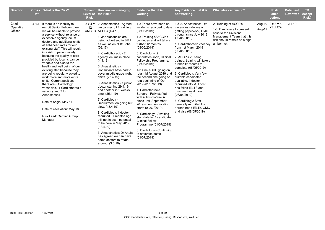| <b>Director</b>               | <b>Cross</b><br><b>Ref</b> | <b>What is the Risk?</b>                                                                                                                                                                                                                                                                                                                                                                                                                                                                                                                                                                                                                                                                                                             | <b>Risk</b>          | Current How are we managing<br>Level of the risk?                                                                                                                                                                                                                                                                                                                                                                                                                                                                                                                                                                                                                                                                                                  | <b>Evidence that it is</b><br>working.                                                                                                                                                                                                                                                                                                                                                                                                                                                                                                                                                                                                                                                                                         | Any Evidence that it is<br>not working.                                                                                                                                                                                                                                                                                                                                                                                                                                                                                                                                        | What else can we do?                                                                                                                                     |        | <b>Risk</b><br>after<br>actions   | <b>Date Last</b><br><b>Reviewed</b> | <b>TB</b><br><b>Accept</b><br>Risk? |
|-------------------------------|----------------------------|--------------------------------------------------------------------------------------------------------------------------------------------------------------------------------------------------------------------------------------------------------------------------------------------------------------------------------------------------------------------------------------------------------------------------------------------------------------------------------------------------------------------------------------------------------------------------------------------------------------------------------------------------------------------------------------------------------------------------------------|----------------------|----------------------------------------------------------------------------------------------------------------------------------------------------------------------------------------------------------------------------------------------------------------------------------------------------------------------------------------------------------------------------------------------------------------------------------------------------------------------------------------------------------------------------------------------------------------------------------------------------------------------------------------------------------------------------------------------------------------------------------------------------|--------------------------------------------------------------------------------------------------------------------------------------------------------------------------------------------------------------------------------------------------------------------------------------------------------------------------------------------------------------------------------------------------------------------------------------------------------------------------------------------------------------------------------------------------------------------------------------------------------------------------------------------------------------------------------------------------------------------------------|--------------------------------------------------------------------------------------------------------------------------------------------------------------------------------------------------------------------------------------------------------------------------------------------------------------------------------------------------------------------------------------------------------------------------------------------------------------------------------------------------------------------------------------------------------------------------------|----------------------------------------------------------------------------------------------------------------------------------------------------------|--------|-----------------------------------|-------------------------------------|-------------------------------------|
| Chief<br>Operating<br>Officer | 4761                       | If there is an inability to<br>recruit Senior Fellows then<br>we will be unable to provide<br>a service without reliance on<br>expensive agency locum<br>doctors and additional shifts<br>at enhanced rates for our<br>existing staff. This will result<br>in a risk to patient safety<br>because the quality of care<br>provided by locums can be<br>variable and also to the<br>health and well being of our<br>existing staff because they<br>are being regularly asked to<br>work more and more extra<br>shifts. Current position:<br>there are 5 Cardiology<br>vacancies, 1 Cardiothoracic<br>vacancy and 3 for<br>Anaesthetics.<br>Date of origin: May 17<br>Date of escalation: May 18<br>Risk Lead: Cardiac Group<br>Manager | $3 \times 4 =$<br>12 | 2. Anaesthetics - Agreed<br>we can recruit 2 training<br>AMBER ACCPs (4.4.18)<br>1. Job Vacancies are<br>being advertised in BMJ<br>as well as on NHS Jobs.<br>(09.17)<br>4. Cardiothoracic - 2<br>agency locums in place.<br>(4.4.18)<br>5. Anaesthetics -<br>Consultants have had to<br>cover middle grade night<br>shifts. (25.4.19)<br>6. Anaesthetics - 1 junior<br>doctor starting 29.4.19<br>and another in 2 weeks<br>time. (25.4.19)<br>7. Cardiology -<br>Recruitment on-going but<br>slow. (18.4.19)<br>8. Cardiology: 1 doctor<br>recruited 3+ months ago<br>still not in post, potential<br>to be here in May 2019.<br>(18.4.19)<br>3. Anaesthetics: Dr Ahuja<br>has agreed we can have<br>some doctors to rotate<br>around. (3.5.19) | 1-3 There have been no<br>incidents recorded to date<br>(08/05/2019)<br>1-3 Training of ACCP's<br>continues and will take a<br>further 12 months<br>(08/05/2019)<br>6. Cardiology: 2<br>candidates soon, Clinical<br>Fellowship Programme.<br>(08/05/2019)<br>1-3 One ACCP going on<br>rota mid August 2019 and<br>the second one going on<br>rota beginning of Oct<br>2019 (01/07/2019)<br>1. Cardiothoracic<br>Surgery - Fully staffed<br>with a Trust locum in<br>place until September<br>2019 when new rotation<br>starts (01/07/2019)<br>6. Cardiology - Awaiting<br>start date for 1 candidate.<br><b>Clinical Fellow</b><br>Programme (01/07/2019)<br>6. Cardiology - Continuing<br>to advertise posts<br>(01/07/2019) | 1 & 2. Anaesthetics - x5<br>vacancies - delays on<br>getting paperwork, GMC<br>through since July 2018<br>)08/05/2019)<br>1. Cardiothoracic vacancy<br>from 1st March 2019<br>(08/05/2019)<br>2. ACCP's x2 being<br>trained, training will take a<br>further 12 months to<br>complete (08/05/2019)<br>6. Cardiology: Very few<br>suitable candidates<br>available, 1 doctor<br>recruited into MTI post<br>has failed IELTS and<br>must resit next month<br>(08/05/2019)<br>6. Cardiology: Staff<br>generally recruited from<br>abroad need IELTs, GMC<br>and visa (08/05/2019) | 2. Training of ACCP's<br>1-8 Directorate to present<br>case to the Divisional<br>Management Team that this<br>risk should remain as a high<br>amber risk | Aug-19 | Aug-19 $2 \times 3 = 6$<br>YELLOW | Jul-19                              |                                     |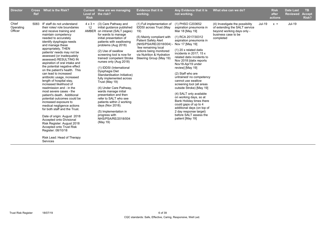| <b>Director</b>               | <b>Cross</b><br>Ref | What is the Risk?                                                                                                                                                                                                                                                                                                                                                                                                                                                                                                                                                                                                                                                                                                                                                                                                                                                                                         | <b>Current</b><br><b>Level of</b><br><b>Risk</b> | How are we managing<br>the risk?                                                                                                                                                                                                                                                                                                                                                                                                                                                                                                                                                                                                                                                | <b>Evidence that it is</b><br>working.                                                                                                                                                                                                                             | Any Evidence that it is<br>not working.                                                                                                                                                                                                                                                                                                                                                                                                                                                                                                                                                                                                      | What else can we do?                                                                                                               |        | <b>Risk</b><br>after<br>actions | <b>Date Last</b><br><b>Reviewed</b> | <b>TB</b><br><b>Accept</b><br>Risk? |
|-------------------------------|---------------------|-----------------------------------------------------------------------------------------------------------------------------------------------------------------------------------------------------------------------------------------------------------------------------------------------------------------------------------------------------------------------------------------------------------------------------------------------------------------------------------------------------------------------------------------------------------------------------------------------------------------------------------------------------------------------------------------------------------------------------------------------------------------------------------------------------------------------------------------------------------------------------------------------------------|--------------------------------------------------|---------------------------------------------------------------------------------------------------------------------------------------------------------------------------------------------------------------------------------------------------------------------------------------------------------------------------------------------------------------------------------------------------------------------------------------------------------------------------------------------------------------------------------------------------------------------------------------------------------------------------------------------------------------------------------|--------------------------------------------------------------------------------------------------------------------------------------------------------------------------------------------------------------------------------------------------------------------|----------------------------------------------------------------------------------------------------------------------------------------------------------------------------------------------------------------------------------------------------------------------------------------------------------------------------------------------------------------------------------------------------------------------------------------------------------------------------------------------------------------------------------------------------------------------------------------------------------------------------------------------|------------------------------------------------------------------------------------------------------------------------------------|--------|---------------------------------|-------------------------------------|-------------------------------------|
| Chief<br>Operating<br>Officer | 5083                | IF staff do not understand<br>their roles/ role boundaries<br>and receive training and<br>maintain competency<br>needed to accurately<br>identify dysphagia needs<br>and manage these<br>appropriately, THEN<br>patients' needs may not be<br>assessed (or inadequately<br>assessed) RESULTING IN<br>aspiration of oral intake and<br>the potential negative effect<br>on the patient's health. This<br>can lead to increased<br>antibiotic usage, increased<br>length of hospital stay,<br>increased likelihood of<br>readmission and - in the<br>most severe cases - the<br>patient's death. Additional<br>potential outcomes could be<br>increased exposure to<br>medical negligence actions<br>for both staff and the Trust.<br>Date of origin: August 2018<br>Accepted onto Divisional<br>Risk Register: August 2018<br>Accepted onto Trust Risk<br>Register: 08/10/18<br>Risk Lead: Head of Therapy | 12                                               | $4 \times 3 =$ (3) Care Pathway and<br>initial guidance published<br>AMBER on intranet (SALT pages)<br>for wards to manage<br>initial presentation of<br>patients with swallowing<br>problems (Aug 2018)<br>(2) Use of swallow<br>screening tool is now for<br>trained/competent Stroke<br>nurses only (Aug 2018)<br>(1) IDDSI (International<br>Dysphagia Diet<br>Standardisation Initiative)<br>fully implemented across<br>Trust (May 19)<br>(4) Under Care Pathway,<br>wards manage initial<br>presentation and then<br>refer to SALT who see<br>patients within 2 working<br>days (Nov 2018).<br>(5) Implementation in<br>progress with<br>NHS/PSA/RE/2018/004<br>(May 19) | (1) Full implementation of<br><b>IDDSI</b> across Trust (May<br>19)<br>(5) Mainly compliant with<br><b>Patient Safety Alert</b><br>(NHS/PSA/RE/2018/004)<br>few remaining local<br>actions being monitored<br>via Nutrition & Hydration<br>Steering Group (May 19) | (1) PHSO C203652<br>aspiration pneumonia in<br>Mar 18 [May 19]<br>(1) RCA 2017/30312<br>aspiration pneumonia in<br>Nov 17 [May 19]<br>$(1)$ 20 x related datix<br>incidents in 2017; 15 x<br>related datix incidents to<br>Nov 2018 [datix reports]<br>Nov18-Apr19 under<br>review] [May 19]<br>(2) Staff who are<br>untrained/ no competency<br>cannot use swallow<br>screening tool (all areas<br>outside Stroke) [May 19]<br>(4) SALT only available<br>on working days, so at<br>Bank Holiday times there<br>could gaps of up to 4<br>additional days (on top of<br>2 day response target)<br>before SALT assess the<br>patient [May 19] | (4) Investigate the possibility<br>of extending the SALT service<br>beyond working days only -<br>business case to be<br>completed | Jul-19 | $x =$                           | Jul-19                              |                                     |

Services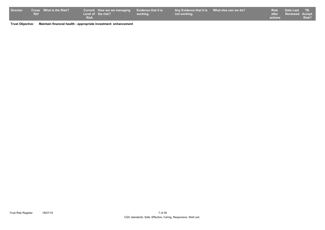| <b>Director</b> |            | <b>Cross</b> What is the Risk? |             | Current How are we managing Evidence that it is |          | Any Evidence that it is What else can we do? |         | Risk Date Last TB     |       |
|-----------------|------------|--------------------------------|-------------|-------------------------------------------------|----------|----------------------------------------------|---------|-----------------------|-------|
|                 | <b>Ref</b> |                                |             | Level of the risk?                              | working. | not working.                                 |         | after Reviewed Accept |       |
|                 |            |                                | <b>Risk</b> |                                                 |          |                                              | actions |                       | Risk? |

**Trust Objective: Maintain financial health - appropriate investment enhancement**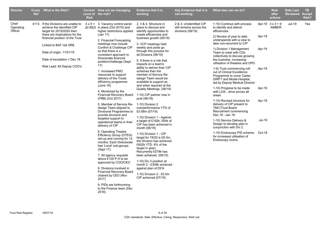| <b>Director</b>               | <b>Ref</b> | Cross What is the Risk?                                                                                                          | <b>Risk</b>                                                                                                                                                                                                                                                                   | Current How are we managing<br>Level of the risk?                                                                                                                   | <b>Evidence that it is</b><br>working.                                                                                   | Any Evidence that it is<br>not working.                                                           | What else can we do?                                                                                                   |                                                                                                                                                   | <b>Risk</b><br>after<br>actions                                                                                                                                                 | Date Last<br><b>Reviewed Accept</b> | TB.<br><b>Risk?</b>                                                           |        |  |  |  |
|-------------------------------|------------|----------------------------------------------------------------------------------------------------------------------------------|-------------------------------------------------------------------------------------------------------------------------------------------------------------------------------------------------------------------------------------------------------------------------------|---------------------------------------------------------------------------------------------------------------------------------------------------------------------|--------------------------------------------------------------------------------------------------------------------------|---------------------------------------------------------------------------------------------------|------------------------------------------------------------------------------------------------------------------------|---------------------------------------------------------------------------------------------------------------------------------------------------|---------------------------------------------------------------------------------------------------------------------------------------------------------------------------------|-------------------------------------|-------------------------------------------------------------------------------|--------|--|--|--|
| Chief<br>Operating<br>Officer |            | 4113 If the Divisions are unable to<br>achieve the identified CIP<br>target for 2019/2020 then<br>there are implications for the |                                                                                                                                                                                                                                                                               | $4 \times 5 = 3$ . Vacancy control panel<br>20 RED in place (Oct 2015) and<br>higher restrictions applied<br>(Jan 17)                                               | 2, 3 & 4. Structure in<br>place to discuss and<br>identify opportunities to<br>create efficiencies and                   | 2 & 3. Unidentified CIP<br>still remains across the<br>divisions (06/19)                          | 1-10) Continue with process<br>to identify and deliver<br>efficiencies                                                 |                                                                                                                                                   | Apr-19 $3 \times 3 = 9$<br>AMBER                                                                                                                                                | <b>Jul-19</b>                       | Yes                                                                           |        |  |  |  |
|                               |            | financial position of the Trust<br>Linked to BAF risk SR8.                                                                       |                                                                                                                                                                                                                                                                               | 2. Financial Forecasting<br>meetings now include                                                                                                                    | business growth (06/19)<br>3. VCP meetings held                                                                          |                                                                                                   | 2) Review of year to date<br>underspends with a view to<br>take non-recurrent to CIP                                   | Apr-19                                                                                                                                            |                                                                                                                                                                                 |                                     |                                                                               |        |  |  |  |
|                               |            | Date of origin: 11/01/19<br>Date of escalation = Dec $18$                                                                        |                                                                                                                                                                                                                                                                               | Confirm & Challenge CIP<br>so that there is a<br>consistent approach to<br>Directorate financial                                                                    | weekly and posts go<br>through this process for<br>all Divsions (06/19)<br>5. If there is a risk that                    |                                                                                                   | 1) Division 1 Management<br>Team to meet with CDs<br>collectively to discuss growing<br>the business, increasing       | Apr-19                                                                                                                                            |                                                                                                                                                                                 |                                     |                                                                               |        |  |  |  |
|                               |            | Risk Lead: All Deputy COO's                                                                                                      |                                                                                                                                                                                                                                                                               | position/challenge (Sept<br>17)<br>1. Increased PMO<br>resources to support                                                                                         | impacts on a team's<br>ability to deliver their CIP<br>schemes then the<br>member of Service Re-<br>deisgn Team would be |                                                                                                   | utilisation of theatres and OPD<br>1-9) Trust commencing roll-<br>out of Clinical Excellence                           | Apr-19                                                                                                                                            |                                                                                                                                                                                 |                                     |                                                                               |        |  |  |  |
|                               |            |                                                                                                                                  |                                                                                                                                                                                                                                                                               | delivery of the Trusts<br>efficiency programme<br>(June 16)                                                                                                         | available to support as<br>and when required at the                                                                      |                                                                                                   | Programme to cover Carter,<br>GIRFT and Model Hospital,<br>led by Deputy Medical Director<br>1-10) Progress to be made | Apr-19                                                                                                                                            |                                                                                                                                                                                 |                                     |                                                                               |        |  |  |  |
|                               |            |                                                                                                                                  | 4. Monitored by the<br>Financial Recovery Board<br>(FRB) (Oct 2017)<br>5. Member of Service Re-<br>design Team aligned to<br>Divisional Programmes to<br>provide structure and                                                                                                | Quality Meetings. (06/19)<br>1-10) CIP partner now in<br>post (06/19)<br>1-10) Division 2<br>overperformance YTD of<br>£0.58m (07/19)<br>1-10) Division 1 - Against |                                                                                                                          | with LOS - drive across all<br>areas<br>1-10) Revised structure for<br>delivery of CIP present to | Apr-19                                                                                                                 |                                                                                                                                                   |                                                                                                                                                                                 |                                     |                                                                               |        |  |  |  |
|                               |            |                                                                                                                                  |                                                                                                                                                                                                                                                                               |                                                                                                                                                                     |                                                                                                                          | TMC/Trust Board.<br>Recruitment commencing<br>Dec 18 - Jan 19.                                    |                                                                                                                        |                                                                                                                                                   |                                                                                                                                                                                 |                                     |                                                                               |        |  |  |  |
|                               |            |                                                                                                                                  |                                                                                                                                                                                                                                                                               | targeted support to<br>operational teams in their<br>delivery of CIP<br>6. Operating Theatre                                                                        | a target of £192k, £64k of<br>CIP has been achieved in<br>month (06/19)                                                  |                                                                                                   | 1-10) Service Delivery &<br>Design to develop plan in<br>conjunction with Div 2                                        | <b>Jul-19</b>                                                                                                                                     |                                                                                                                                                                                 |                                     |                                                                               |        |  |  |  |
|                               |            |                                                                                                                                  |                                                                                                                                                                                                                                                                               |                                                                                                                                                                     |                                                                                                                          |                                                                                                   |                                                                                                                        | Efficiency Group (OTEG)<br>set-up and running for 12<br>months. Each Directorate<br>has 'Local' sub-groups<br>(Sept 17)<br>7. All agency requests | 1-10) Division 1 - CIP<br>target for 19/20 is £9.3m,<br>the Division has achieved<br>£602k YTD. 6% of the<br>target in year).<br>Recurrently £579k has<br>been achieved (06/19) |                                     | 1-10) Endoscopy PID scheme<br>for increased utilisation of<br>Endoscopy rooms | Oct-19 |  |  |  |
|                               |            |                                                                                                                                  | above £100 P.H to be<br>1-10) Div 3 position at<br>approved by COO/CEO<br>month 2 - £309k achieved<br>against plan of £91k<br>8. Divisions involved in<br><b>Financial Recovery Board</b><br>1-10) Division 2 - £0.5m<br>chaired by CEO (Nov<br>CIP acheived (07/19)<br>2017) |                                                                                                                                                                     |                                                                                                                          |                                                                                                   |                                                                                                                        |                                                                                                                                                   |                                                                                                                                                                                 |                                     |                                                                               |        |  |  |  |
|                               |            |                                                                                                                                  |                                                                                                                                                                                                                                                                               | 9. PIDs are forthcoming<br>to the Finance team (Dec<br>2018)                                                                                                        |                                                                                                                          |                                                                                                   |                                                                                                                        |                                                                                                                                                   |                                                                                                                                                                                 |                                     |                                                                               |        |  |  |  |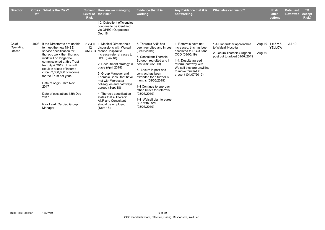| <b>Director</b>    | <b>Cross</b><br><b>Ref</b> | What is the Risk?                                                                                                                                                                                                                                                                                                                                        | <b>Current</b><br><b>Risk</b>       | How are we managing<br>Level of the risk?                                                                                                                                                                                                                                                                                                                                         | <b>Evidence that it is</b><br>working.                                                                                                                                                                                                                                                                                                | Any Evidence that it is<br>not working.                                                                                                                             | What else can we do?                                       |        | <b>Risk</b><br>after<br>actions   | <b>Date Last</b><br><b>Reviewed</b> | TB.<br><b>Accept</b><br>Risk? |
|--------------------|----------------------------|----------------------------------------------------------------------------------------------------------------------------------------------------------------------------------------------------------------------------------------------------------------------------------------------------------------------------------------------------------|-------------------------------------|-----------------------------------------------------------------------------------------------------------------------------------------------------------------------------------------------------------------------------------------------------------------------------------------------------------------------------------------------------------------------------------|---------------------------------------------------------------------------------------------------------------------------------------------------------------------------------------------------------------------------------------------------------------------------------------------------------------------------------------|---------------------------------------------------------------------------------------------------------------------------------------------------------------------|------------------------------------------------------------|--------|-----------------------------------|-------------------------------------|-------------------------------|
|                    |                            |                                                                                                                                                                                                                                                                                                                                                          |                                     | 10. Outpatient efficiencies<br>continue to be identified<br>via OPEG (Outpatient)<br>Dec 18                                                                                                                                                                                                                                                                                       |                                                                                                                                                                                                                                                                                                                                       |                                                                                                                                                                     |                                                            |        |                                   |                                     |                               |
| Chief<br>Operating | 4903                       | If the Directorate are unable<br>to meet the new NHSE                                                                                                                                                                                                                                                                                                    | $3 \times 4 =$<br>$12 \overline{ }$ | 1. Medical Director held<br>discussions with Walsall                                                                                                                                                                                                                                                                                                                              | 5. Thoracic ANP has<br>been recruited and in post                                                                                                                                                                                                                                                                                     | 1. Referrals have not<br>increased, this has been                                                                                                                   | 1-4 Plan further approaches<br>to Walsall Hospital         |        | Aug-19 $1 \times 5 = 5$<br>YELLOW | Jul-19                              |                               |
| Officer            |                            | service specification for<br>thoracic work then thoracic<br>work will no longer be<br>commissioned at this Trust<br>from April 2019. This will<br>result in a loss of income<br>circa £2,000,000 of income<br>for the Trust per year.<br>Date of origin: 16th Nov<br>2017<br>Date of escalation: 18th Dec<br>2017<br>Risk Lead: Cardiac Group<br>Manager | AMBER                               | Manor Hospital to<br>increase referral cases to<br><b>RWT</b> (Jan 18)<br>2. Recruitment strategy in<br>place (April 2018)<br>3. Group Manager and<br><b>Thoracic Consultant have</b><br>met with Worcester<br>colleagues and pathways<br>agreed (Sept 18)<br>4. Thoracic specification<br>states that a Thoracic<br><b>ANP and Consultant</b><br>should be employed<br>(Sept 18) | (08/05/2019)<br>5. Consultant Thoracic<br>Surgeon recruited and in<br>post (08/05/2019)<br>5. Locum in post and<br>contract has been<br>extended for a further 6<br>months (08/05/2019)<br>1-4 Continue to approach<br>other Trusts for referrals<br>(08/05/2019)<br>1-4 Walsall plan to agree<br><b>SLA with RWT</b><br>(08/05/2019) | escalated to DCOO and<br>COO (08/05/19)<br>1-4. Despite agreed<br>referral pathway with<br>Walsall they are unwilling<br>to move forward at<br>present (01/07/2019) | 2. Locum Thoracic Surgeon<br>post out to advert 01/07/2019 | Aug-19 |                                   |                                     |                               |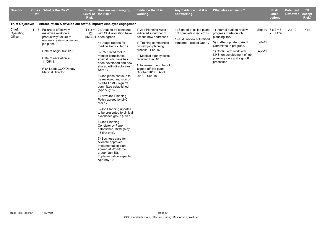| <b>Director</b>               | <b>Cross</b><br><b>Ref</b> | <b>What is the Risk?</b>                                                                                                                                                                                                                         | <b>Risk</b> | Current How are we managing<br>Level of the risk?                                                                                                                                                                                                                                                                                                                                                                                                                                                                                                                                                                                                                                                                                                                      | <b>Evidence that it is</b><br>working.                                                                                                                                                                                                                                                    | Any Evidence that it is<br>not working.                                                                             | What else can we do?                                                                                                                                                                                                                |                  | <b>Risk</b><br>after<br>actions          | <b>Date Last</b><br><b>Reviewed</b> | <b>TB</b><br><b>Accept</b><br>Risk? |
|-------------------------------|----------------------------|--------------------------------------------------------------------------------------------------------------------------------------------------------------------------------------------------------------------------------------------------|-------------|------------------------------------------------------------------------------------------------------------------------------------------------------------------------------------------------------------------------------------------------------------------------------------------------------------------------------------------------------------------------------------------------------------------------------------------------------------------------------------------------------------------------------------------------------------------------------------------------------------------------------------------------------------------------------------------------------------------------------------------------------------------------|-------------------------------------------------------------------------------------------------------------------------------------------------------------------------------------------------------------------------------------------------------------------------------------------|---------------------------------------------------------------------------------------------------------------------|-------------------------------------------------------------------------------------------------------------------------------------------------------------------------------------------------------------------------------------|------------------|------------------------------------------|-------------------------------------|-------------------------------------|
| <b>Trust Objective:</b>       |                            | Attract, retain & develop our staff & improve employee engagemen                                                                                                                                                                                 |             |                                                                                                                                                                                                                                                                                                                                                                                                                                                                                                                                                                                                                                                                                                                                                                        |                                                                                                                                                                                                                                                                                           |                                                                                                                     |                                                                                                                                                                                                                                     |                  |                                          |                                     |                                     |
| Chief<br>Operating<br>Officer |                            | 1713 Failure to effectively<br>maximise workforce<br>productivity; failure to<br>routinely review consultant<br>job plans.<br>Date of origin: 03/06/08<br>Date of escalation $=$<br>11/05/11<br>Risk Lead: COO/Deputy<br><b>Medical Director</b> | 12          | $4 \times 3 = 2$ ) Areas to be contained<br>with SPA allocation have<br>AMBER been agreed<br>4) Usage reports for<br>medical bank - Dec 17<br>3) RAG rated tool to<br>monitor compliance<br>against Job Plans has<br>been developed and now<br>shared with directorates<br>Sept 17.<br>1) Job plans continue to<br>be reviewed and sign off<br>by DMD / MD- sign off<br>committee established<br>(Apr-Aug18)<br>1) New Job Planning<br>Policy agreed by LNC<br>Mar 17<br>5) Job Planning updates<br>to be presented to clinical<br>excellence group (Jan 18)<br>6) Job Planning<br><b>Consistency Panel</b><br>established 18/19 (May<br>18 first one).<br>7) Business case for<br>Allocate approved.<br>Implementation plan<br>agreed at Workforce<br>group (Jan 18). | 1) Job Planning Audit<br>indicated a number of<br>actions now addressed<br>1) Training commenced<br>on new job planning<br>process - Feb 16<br>4) Medical agency costs<br>reducing Dec 18.<br>1) Increase in number of<br>'signed off' job plans<br>October 2017 + April<br>2018 + Sep 18 | 1) Sign off of all job plans<br>not complete (Dec 2018)<br>1) Audit review still raised<br>concerns - closed Dec 17 | 1) Internal audit to review<br>progress made on job<br>planning 19/20<br>5) Further update to Audit<br>Committee in progress.<br>1) Continue to work with<br>NHSI on development of job<br>planning tools and sign off<br>processes | Feb-19<br>Apr-19 | Sep-19 $3 \times 2 = 6$<br><b>YELLOW</b> | Jul-19                              | Yes                                 |
|                               |                            |                                                                                                                                                                                                                                                  |             | Implementation expected<br>Apr/May 19                                                                                                                                                                                                                                                                                                                                                                                                                                                                                                                                                                                                                                                                                                                                  |                                                                                                                                                                                                                                                                                           |                                                                                                                     |                                                                                                                                                                                                                                     |                  |                                          |                                     |                                     |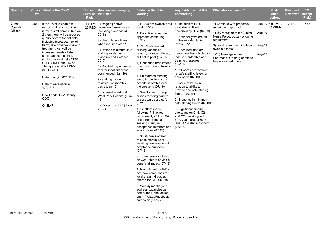| <b>Director</b>               | <b>Ref</b> | Cross What is the Risk?                                                                                                                                                                                                                                                                                                                                                                                                                                                                                                              | <b>Risk</b> | Current How are we managing<br>Level of the risk?                                                                                                                                                                                                                                                                                                                                                                                                                                            | <b>Evidence that it is</b><br>working.                                                                                                                                                                                                                                                                                                                                                                                                                                                                                                                                                                                                                                                                                                                                                                                                                                                                                                                                                                                                                                                                     | Any Evidence that it is<br>not working.                                                                                                                                                                                                                                                                                                                                                                                                                                                                                                                                                                                                                      | What else can we do?                                                                                                                                                                                                                                                                 |                  | <b>Risk</b><br>after<br>actions          | <b>Date Last</b><br><b>Reviewed</b> | TB.<br><b>Accept</b><br><b>Risk?</b> |
|-------------------------------|------------|--------------------------------------------------------------------------------------------------------------------------------------------------------------------------------------------------------------------------------------------------------------------------------------------------------------------------------------------------------------------------------------------------------------------------------------------------------------------------------------------------------------------------------------|-------------|----------------------------------------------------------------------------------------------------------------------------------------------------------------------------------------------------------------------------------------------------------------------------------------------------------------------------------------------------------------------------------------------------------------------------------------------------------------------------------------------|------------------------------------------------------------------------------------------------------------------------------------------------------------------------------------------------------------------------------------------------------------------------------------------------------------------------------------------------------------------------------------------------------------------------------------------------------------------------------------------------------------------------------------------------------------------------------------------------------------------------------------------------------------------------------------------------------------------------------------------------------------------------------------------------------------------------------------------------------------------------------------------------------------------------------------------------------------------------------------------------------------------------------------------------------------------------------------------------------------|--------------------------------------------------------------------------------------------------------------------------------------------------------------------------------------------------------------------------------------------------------------------------------------------------------------------------------------------------------------------------------------------------------------------------------------------------------------------------------------------------------------------------------------------------------------------------------------------------------------------------------------------------------------|--------------------------------------------------------------------------------------------------------------------------------------------------------------------------------------------------------------------------------------------------------------------------------------|------------------|------------------------------------------|-------------------------------------|--------------------------------------|
| Chief<br>Operating<br>Officer |            | 2080 If the Trust is unable to<br>recruit and retain sufficient<br>nursing staff across Division<br>2 then there will be reduced<br>quality of care for patients,<br>including increased risk of<br>harm, late observations and<br>treatment. As well as<br>increased levels of staff<br>stress and complaints.<br>(Linked to local risks 2780)<br>CHU, 4164 Renal, 4272<br>Therapy Svs, 4321 DN's,<br>3431 CofE)<br>Date of origin: 02/01/09<br>Date of escalation =<br>12/01/16<br>Risk Lead: Div 2 Deputy<br><b>COO</b><br>On BAF |             | $5 \times 4 = 1$ ) Ongoing active<br>20 RED recruitment exercises -<br>including overseas (Jul<br>2018)<br>8) Use of Nurse Bank<br>when required (Jan 16)<br>3) Defined minimum safe<br>staffing levels now in<br>place revised October<br>2017<br>5) Modified dependency<br>tool for inpatient areas<br>commenced (Jan 16)<br>9) Staffing incidents<br>reviewed on monthly<br>basis (Jan 16)<br>10) Closed Ward 3 at<br>West Park Hospital (June<br>16)<br>4) Closed ward B7 (June<br>2017) | 8) HCA's are available via<br>Bank (07/19)<br>1) Proactive recruitment<br>approach continuing<br>(07/19)<br>1) 72.65 wte trained<br>nursing vacancies<br>remain, 39 roles offered,<br>but not in post (07/19)<br>1) Continued recruitment<br>to nursing clinical fellows<br>(07/19)<br>1-10) Matrons meeting<br>every Friday to ensure<br>hospital is staffed over<br>the weekend (07/19)<br>3) Snr Srs and Charge<br>nurses meeting daily to<br>ensure wards are safe<br>(07/19)<br>1) 12 offers made<br>following Phillipines<br>recruitment, 20 from SA<br>and 4 from Nigeria -<br>seeking clarity re<br>acceptance numbers and<br>arrival dates (07/19)<br>3) 30 students offered<br>roles to start in Sept 19 -<br>awaiting confirmation of<br>accptance numbers<br>(07/19)<br>3) 1 bay remains closed<br>on C25 - this is having a<br>beneficial impact (07/19)<br>1) Recruitment for Bd5's<br>has now come back to<br>local areas - 4 places<br>offered for C19 (07/19)<br>3) Weekly meetings to<br>address vacancies as<br>part of the Renal action<br>plan - Twitter/Facebook<br>campaign (07/19) | 8) Insufficient RN's<br>available on Bank,<br>backfilled by HCA (07/19)<br>1) Nationallly we are an<br>outlier re safe staffing<br>levels (07/19)<br>1) Recruited staff are<br>newly qualified which can<br>lead to mentorship and<br>training pressures<br>(07/19)<br>1) All wards are 'Amber'<br>re safe staffing levels on<br>daily basis (07/19)<br>3) Issue remains in<br>relation to ability to<br>provide accurate staffing<br>figures (07/19)<br>3) Breaches in minimum<br>safe staffing levels (07/19)<br>3) Significant nursing<br>shortages on C16, C24<br>and C25, working with<br>50% vacancies at Bd 5<br>level. C19 also a concern<br>(07/19) | 1) Continue with proactive<br>recruitment approach<br>1) UK recruitment for Clinical<br>Nurse Fellow posts - ongoing<br>recruitment<br>3) Local recruitment in place - Aug-19<br>await outcome<br>1-10) Investigate use of<br>Pharmacists in drug admin to<br>free up trained nurses | Aug-19<br>Aug-19 | Jun-19 $4 \times 3 = 12$<br><b>AMBER</b> | <b>Jul-19</b>                       | Yes                                  |
|                               |            |                                                                                                                                                                                                                                                                                                                                                                                                                                                                                                                                      |             |                                                                                                                                                                                                                                                                                                                                                                                                                                                                                              |                                                                                                                                                                                                                                                                                                                                                                                                                                                                                                                                                                                                                                                                                                                                                                                                                                                                                                                                                                                                                                                                                                            |                                                                                                                                                                                                                                                                                                                                                                                                                                                                                                                                                                                                                                                              |                                                                                                                                                                                                                                                                                      |                  |                                          |                                     |                                      |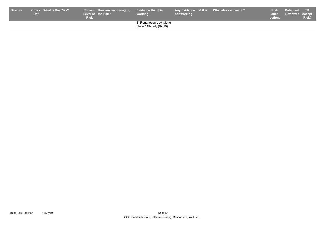| <b>Director</b> | <b>Ref</b> | Cross What is the Risk? $^{\prime}$ | <b>Risk</b> | Current How are we managing<br>Level of the risk? | <b>Evidence that it is</b><br>working.              | Any Evidence that it is What else can we do?<br>not working. | <b>Risk</b><br>after<br>actions | Date Last<br><b>Reviewed Accept</b> | <b>TB</b><br>Risk? |
|-----------------|------------|-------------------------------------|-------------|---------------------------------------------------|-----------------------------------------------------|--------------------------------------------------------------|---------------------------------|-------------------------------------|--------------------|
|                 |            |                                     |             |                                                   | 3) Renal open day taking<br>place 11th July (07/19) |                                                              |                                 |                                     |                    |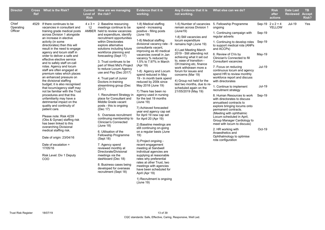| <b>Director</b>               | <b>Ref</b> | Cross What is the Risk?                                                                                                                                                                                                                                                                                                                                                                                                                                                                                                                                                                                                                                                                                                                                                                                                                                                                                                                                                                                  | <b>Risk</b> | Current How are we managing<br>Level of the risk?                                                                                                                                                                                                                                                                                                                                                                                                                                                                                                                                                                                                                                                                                                                                                                                                                                                                                                                                      | Evidence that it is<br>working.                                                                                                                                                                                                                                                                                                                                                                                                                                                                                                                                                                                                                                                                                                                                                                                                                                                                                                                                                                          | Any Evidence that it is<br>not working.                                                                                                                                                                                                                                                                                                                                                                                                        | What else can we do?                                                                                                                                                                                                                                                                                                                                                                                                                                                                                                                                                                                                                                                                                                                                                                                                                                     |                                                                          | <b>Risk</b><br>after<br>actions   | <b>Date Last</b><br><b>Reviewed</b> | TB.<br><b>Accept</b><br>Risk? |
|-------------------------------|------------|----------------------------------------------------------------------------------------------------------------------------------------------------------------------------------------------------------------------------------------------------------------------------------------------------------------------------------------------------------------------------------------------------------------------------------------------------------------------------------------------------------------------------------------------------------------------------------------------------------------------------------------------------------------------------------------------------------------------------------------------------------------------------------------------------------------------------------------------------------------------------------------------------------------------------------------------------------------------------------------------------------|-------------|----------------------------------------------------------------------------------------------------------------------------------------------------------------------------------------------------------------------------------------------------------------------------------------------------------------------------------------------------------------------------------------------------------------------------------------------------------------------------------------------------------------------------------------------------------------------------------------------------------------------------------------------------------------------------------------------------------------------------------------------------------------------------------------------------------------------------------------------------------------------------------------------------------------------------------------------------------------------------------------|----------------------------------------------------------------------------------------------------------------------------------------------------------------------------------------------------------------------------------------------------------------------------------------------------------------------------------------------------------------------------------------------------------------------------------------------------------------------------------------------------------------------------------------------------------------------------------------------------------------------------------------------------------------------------------------------------------------------------------------------------------------------------------------------------------------------------------------------------------------------------------------------------------------------------------------------------------------------------------------------------------|------------------------------------------------------------------------------------------------------------------------------------------------------------------------------------------------------------------------------------------------------------------------------------------------------------------------------------------------------------------------------------------------------------------------------------------------|----------------------------------------------------------------------------------------------------------------------------------------------------------------------------------------------------------------------------------------------------------------------------------------------------------------------------------------------------------------------------------------------------------------------------------------------------------------------------------------------------------------------------------------------------------------------------------------------------------------------------------------------------------------------------------------------------------------------------------------------------------------------------------------------------------------------------------------------------------|--------------------------------------------------------------------------|-----------------------------------|-------------------------------------|-------------------------------|
| Chief<br>Operating<br>Officer |            | 4529 If there continues to be<br>vacancies in consultant and<br>training grade medical posts<br>across Division 1 alongside<br>an increase in elective<br>activity (in some<br>directorates) then this will<br>result in the need to engage<br>agency and locum staff in<br>order to deliver a safe and<br>effective elective service<br>and to safely staff on-call<br>rotas. Agency and locum<br>staff are often engaged at<br>premium rates which places<br>an enhanced pressure on<br>the divisional staffing<br>budget; it is also recognised<br>that locum/agency staff may<br>not be familiar with the Trust<br>procedures and that this<br>unfamiliarity may have a<br>detrimental impact on the<br>quality and continuity of<br>patient care.<br>Please note: Risk 4239<br>(Obs & Gynae) staffing risk<br>has been linked to this<br>overarching Divisional<br>medical staffing risk.<br>Date of origin: 23/04/16<br>Date of escalation =<br>17/05/16<br>Risk Level: Div 1 Deputy<br><b>COO</b> | 12          | $4 \times 3 = 2$ . Baseline resourcing<br>meetings continue to be<br>AMBER held to review vacancies<br>and expenditure, identify<br>recruitment opportunities<br>within Directorates<br>explore alternative<br>solutions including future<br>workforce planning and<br>forecasting (Sept 17)<br>3. Trust continues to be<br>part of West Mid's Project<br>to reduce Locum Agency<br>use and Pay (Dec 2017)<br>4. Trust part of Junior<br>Doctors in-training<br>streamlining group (Dec<br>2017)<br>1. Recruitment Strategy in<br>place for Consultant and<br>Middle Grade vacant<br>posts - this is ongoing<br>(Dec 17)<br>5. Overseas recruitment<br>continuing membership to<br><b>Clinician's Connected</b><br>(June 18)<br>6. Utilisation of the<br>Fellowship Programme<br>(Sept 18)<br>7. Agency spend<br>reviewed monthly at<br>Directorate/Divisional<br>meetings via the<br>dashboard (Dec 18)<br>8. Business cases being<br>developed for overseas<br>recruitment (Sept 18) | 1-8) Medical staffing<br>spend - increasing<br>positive - filling posts<br>(June 19)<br>1-8) Medical staffing<br>divisional vacancy rate - 9<br>consultants vacant,<br>improving as 40 medical<br>vacancies overall in Jan<br>vacancy % reduced by<br>1.5% to 7.97% in March<br>(Apr 19)<br>1-8) Agency and Locum<br>spend reduced in May<br>19 - In month bank spend<br>reduced by 200k since<br>May 2018 (June 19)<br>7) There has been no<br>agency used in nursing<br>for the last 19 months<br>(June 19)<br>7) Achieved forecasted<br>year end agency cap set<br>for April 19 new cap set<br>for April 20 (Apr 19)<br>2) Baseline meetings are<br>still continuing on-going<br>on a regular basis (June<br>19)<br>3) Project ongoing -<br>recent engagement<br>meeting at Sandwell<br>individual agencies are<br>supplying at reasonable<br>rates why preferential<br>rates at other Trust, two<br>meetings with agencies<br>have been scheduled for<br>April (Apr 19)<br>1) Recruitment is ongoing | remain across Division 1<br>(June19)<br>1-8) Still vacancies and<br>locum expenditure<br>remains high (June 19)<br>4) Last Meeting March<br>2019 - Still attending not<br>achieving what it set out<br>to, ease of transition -<br>OH.training etc, finance<br>work withdrawn more a<br>forum for issues and<br>concerns (Mar 19)<br>4) Group not held for the<br>last two months, due to re-<br>scheduled again on the<br>21/05/2019 (May 19) | 1-5) Number of vacancies 5. Fellowship Programme<br>ongoing<br>1. Continuing campaign with<br>regular adverts<br>1. Continuing to develop roles Sep-19<br>to support medical rota (ANPs<br>and ACCPs)<br>6. Review of CVs by<br>Clinician's Connected to fill<br>Consultant vacancies<br>7. Focus on reducing<br>continuous locum and agency<br>spend HR to review monthly<br>workforce report and discuss<br>with directorates<br>1. Continue to implement<br>recruitment strategy<br>8. Human Resources to work<br>with directorates to discuss<br>annualised contracts to<br>explore bringing locums onto<br>permanent contracts.<br>(Meeting with ophthalmic<br>Locum scheduled in April,<br>Group Manager Cardiology to<br>meet with locum to discuss)<br>2. HR working with<br>Anaesthetics and<br>Ophthalmology to optimise<br>rota configuration | Sep-19<br>$May-19$<br><b>Jul-19</b><br><b>Jul-19</b><br>Sep-19<br>Oct-19 | Sep-19 $2 \times 2 = 4$<br>YELLOW | <b>Jul-19</b>                       | Yes                           |
|                               |            |                                                                                                                                                                                                                                                                                                                                                                                                                                                                                                                                                                                                                                                                                                                                                                                                                                                                                                                                                                                                          |             |                                                                                                                                                                                                                                                                                                                                                                                                                                                                                                                                                                                                                                                                                                                                                                                                                                                                                                                                                                                        | (June 19)                                                                                                                                                                                                                                                                                                                                                                                                                                                                                                                                                                                                                                                                                                                                                                                                                                                                                                                                                                                                |                                                                                                                                                                                                                                                                                                                                                                                                                                                |                                                                                                                                                                                                                                                                                                                                                                                                                                                                                                                                                                                                                                                                                                                                                                                                                                                          |                                                                          |                                   |                                     |                               |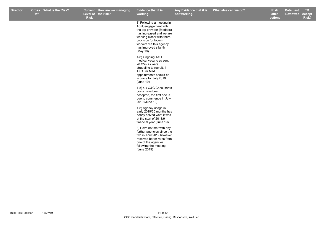| <b>Director</b> | <b>Ref</b> | Cross What is the Risk? | <b>Risk</b> | Current How are we managing<br>Level of the risk? | Evidence that it is<br>working.                                                                                                                                                                                                  | Any Evidence that it is<br>not working. | What else can we do? | <b>Risk</b><br>after<br>actions | <b>Date Last</b><br><b>Reviewed</b> | TB.<br><b>Accept</b><br>Risk? |
|-----------------|------------|-------------------------|-------------|---------------------------------------------------|----------------------------------------------------------------------------------------------------------------------------------------------------------------------------------------------------------------------------------|-----------------------------------------|----------------------|---------------------------------|-------------------------------------|-------------------------------|
|                 |            |                         |             |                                                   | 3) Following a meeting in<br>April, engagement with<br>the top provider (Medacs)<br>has increased and we are<br>working closer with them,<br>provision for locum<br>workers via this agency<br>has improved slightly<br>(May 19) |                                         |                      |                                 |                                     |                               |
|                 |            |                         |             |                                                   | 1-8) Ongoing T&O<br>medical vacancies sent<br>20 CVs as were<br>struggling to recruit, 4<br>T&O Jnr Med<br>appointments should be<br>in place for July 2019<br>(June 19)                                                         |                                         |                      |                                 |                                     |                               |
|                 |            |                         |             |                                                   | 1-8) 4 x O&G Consultants<br>posts have been<br>accepted, the first one is<br>due to commence in July<br>2019 (June 19)                                                                                                           |                                         |                      |                                 |                                     |                               |
|                 |            |                         |             |                                                   | 1-8) Agency usage in<br>early 2019/20 months has<br>nearly halved what it was<br>at the start of 2018/9<br>financial year (June 19)                                                                                              |                                         |                      |                                 |                                     |                               |
|                 |            |                         |             |                                                   | 3) Have not met with any<br>further agencies since the<br>two in April 2019 however<br>received better rates from<br>one of the agencies<br>following the meeting<br>(June 2019)                                                 |                                         |                      |                                 |                                     |                               |
|                 |            |                         |             |                                                   |                                                                                                                                                                                                                                  |                                         |                      |                                 |                                     |                               |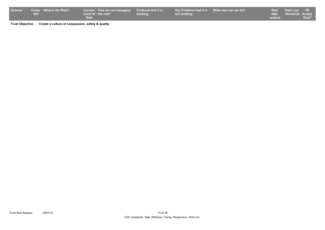| <b>Director</b> |     | Cross What is the Risk? |             | Current How are we managing Evidence that it is |          | Any Evidence that it is What else can we do? |         | Risk Date Last TB     |              |
|-----------------|-----|-------------------------|-------------|-------------------------------------------------|----------|----------------------------------------------|---------|-----------------------|--------------|
|                 | Ref |                         |             | Level of the risk?                              | working. | not working.                                 |         | after Reviewed Accept |              |
|                 |     |                         | <b>Risk</b> |                                                 |          |                                              | actions |                       | <b>Risk?</b> |

**Trust Objective: Create a culture of compassion, safety & quality**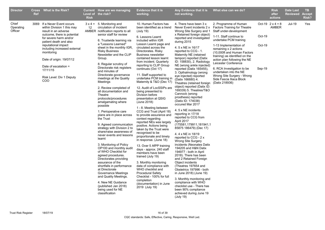| <b>Director</b>               | <b>Ref</b> | Cross What is the Risk?                                                            | <b>Risk</b> | <b>Current</b> How are we managing<br>Level of the risk?                                                                                                                                                                                                                                                                                                                                                                                                                                                                                                                                                           | <b>Evidence that it is</b><br>working.                                                                                                                                                                                                                                                                                                                                                                                                                                                                                                                                                                                                                    | Any Evidence that it is<br>not working.                                                                                                                                                                                                                                                                                                                                                                                                                                                                                                                                                                                                                                            | What else can we do?                                                                                              |        | <b>Risk</b><br>after<br>actions  | <b>Date Last</b><br><b>Reviewed</b> | <b>TB</b><br><b>Accept</b><br>Risk? |
|-------------------------------|------------|------------------------------------------------------------------------------------|-------------|--------------------------------------------------------------------------------------------------------------------------------------------------------------------------------------------------------------------------------------------------------------------------------------------------------------------------------------------------------------------------------------------------------------------------------------------------------------------------------------------------------------------------------------------------------------------------------------------------------------------|-----------------------------------------------------------------------------------------------------------------------------------------------------------------------------------------------------------------------------------------------------------------------------------------------------------------------------------------------------------------------------------------------------------------------------------------------------------------------------------------------------------------------------------------------------------------------------------------------------------------------------------------------------------|------------------------------------------------------------------------------------------------------------------------------------------------------------------------------------------------------------------------------------------------------------------------------------------------------------------------------------------------------------------------------------------------------------------------------------------------------------------------------------------------------------------------------------------------------------------------------------------------------------------------------------------------------------------------------------|-------------------------------------------------------------------------------------------------------------------|--------|----------------------------------|-------------------------------------|-------------------------------------|
| Chief<br>Operating<br>Officer |            | 3069 If a Never Event occurs<br>within Division 1 this may<br>result in an adverse | 12          | $3 \times 4 = 5$ . Monitoring and<br>circulation of incident<br>AMBER notification reports to all                                                                                                                                                                                                                                                                                                                                                                                                                                                                                                                  | 10. Human Factors has<br>been identified as a trend<br>(July 19)                                                                                                                                                                                                                                                                                                                                                                                                                                                                                                                                                                                          | 4. There have been 3 x<br>Never Event incidents 2 x<br>Wrong Site Surgery and 1                                                                                                                                                                                                                                                                                                                                                                                                                                                                                                                                                                                                    | 2. Programme of Human<br><b>Factors Training for Theatre</b><br>Staff under-development                           |        | Oct-19 $2 \times 4 = 8$<br>AMBER | <b>Jul-19</b>                       | Yes                                 |
|                               |            | outcome, there is potential<br>for severe harm and/or<br>patient death and also    |             | senior staff for review<br>6. Trustwide learning via                                                                                                                                                                                                                                                                                                                                                                                                                                                                                                                                                               | 6. Lessons Learnt<br>included within IGR                                                                                                                                                                                                                                                                                                                                                                                                                                                                                                                                                                                                                  | x Retained foreign object)<br>reported and investigated<br>during 2015                                                                                                                                                                                                                                                                                                                                                                                                                                                                                                                                                                                                             | 1-11. Staff continue to<br>undertake PCM training                                                                 | Oct-19 |                                  |                                     |                                     |
|                               |            | reputational impact<br>including increased external<br>monitoring                  |             | a "Lessons Learned"<br>sheet in the monthly IGR,<br><b>Risky Business</b><br>Newsletter and the CLIP                                                                                                                                                                                                                                                                                                                                                                                                                                                                                                               | Lesson Learnt page and<br>circulated across the<br>Directorates. Risky<br><b>Business newsletter</b>                                                                                                                                                                                                                                                                                                                                                                                                                                                                                                                                                      | 4. 5 x NE in 16/17<br>reported to CCG - 1.<br>Maternity NE (retained                                                                                                                                                                                                                                                                                                                                                                                                                                                                                                                                                                                                               | 1-13 Implementation of<br>remaining x 2 actions<br>(10,000ft and Human Factors)<br>training) as identified on the | Oct-19 |                                  |                                     |                                     |
|                               |            | Date of origin: 19/07/12                                                           |             | Group.<br>8. Regular scrutiny of                                                                                                                                                                                                                                                                                                                                                                                                                                                                                                                                                                                   | contained lesson learnt<br>from incident. Quarterly                                                                                                                                                                                                                                                                                                                                                                                                                                                                                                                                                                                                       | tampon) reported (Datix<br>ID: 158830), 2. Radiology                                                                                                                                                                                                                                                                                                                                                                                                                                                                                                                                                                                                                               | action plan following the NE<br>Leicester Conference                                                              |        |                                  |                                     |                                     |
|                               |            | Date of escalation =<br>17/11/15                                                   |             | Directorate risk registers<br>and minutes of                                                                                                                                                                                                                                                                                                                                                                                                                                                                                                                                                                       | reporting to CLIP Group<br>continues (Oct 17)                                                                                                                                                                                                                                                                                                                                                                                                                                                                                                                                                                                                             | NE (wrong ankle injected)<br>reported (Datix 165455),<br>3. Opthalmology (wrong                                                                                                                                                                                                                                                                                                                                                                                                                                                                                                                                                                                                    | 6. RCA Investigation to be<br>undertaken into the NE                                                              | Sep-19 |                                  |                                     |                                     |
|                               |            | Risk Level: Div 1 Deputy<br>COO                                                    |             | Directorate governance<br>meetings at the Quality<br>Meetings                                                                                                                                                                                                                                                                                                                                                                                                                                                                                                                                                      | 11. Staff supported to<br>undertake PCM training in<br>Maternity & T&O (Dec 17)                                                                                                                                                                                                                                                                                                                                                                                                                                                                                                                                                                           | eye injected) reported<br>(Datix 166680) 4.<br>Theatres (retained foreign                                                                                                                                                                                                                                                                                                                                                                                                                                                                                                                                                                                                          | Wrong Site Surgery - Wrong<br>Side Fascia Iliaca Block<br>(Datix 218936)                                          |        |                                  |                                     |                                     |
|                               |            |                                                                                    |             | 2. Review completed of<br>all documentation and<br>Theatre<br>protocols/procedures<br>amalgamating where<br>possible<br>1. Perioperative care<br>plans are in place across<br>the Trust<br>9. Agreed communication<br>strategy with Division 2 to<br>share/raise awareness of<br>never events and lessons<br>learnt<br>3. Monitoring of Policy<br>OP100 and monthly audit<br>of WHO Checklist for<br>agreed procedures.<br>Directorates providing<br>assurance of the<br>shortfalls in performance<br>at Directorate<br>Governance Meetings<br>and Quality Meetings.<br>4. New NE Guidance<br>(published Jan 2018) | 12. Audit of LocSSIPs are<br>being presented to<br>Division before<br>presentation at QSIG<br>(June 2018)<br>1 - 8. Meeting between<br>CCG and Trust (April 18)<br>to provide assurance and<br>context regarding<br>reported NEs was largely<br>positive. Actions being<br>taken by the Trust were<br>recognised to be<br>proportionate and timely<br>in response. (June 18)<br>13. Over 5 AfPP training<br>days - approx. 240 staff<br>members have been<br>trained (July 19)<br>3. Monthly monitoring<br>data of compliance with<br>WHO checklist and<br><b>Procedural Safety</b><br>Checklist - 100% for full<br>completion<br>(documentation) in June | object) reported (Datix ID:<br>169339) 5. Theatres/T&O<br>Cannock (wrong<br>prosthesis) reported<br>(Datix ID: 174038)<br>occured Mar 2017<br>4.5 x NE incidents<br>reporting in 17/18<br>reported to CCG from<br>April 2017<br>(175581,179911,181941,1<br>85875 186479) (Dec 17)<br>4.4 x NE in 18/19<br>reported to CCG - 2 x<br><b>Wrong Site Surgery</b><br>incidents (Neonates Datix<br>194205 and H&N Datix<br>194977 - both in April<br>2018). There has been<br>and 2 Retained Foreign<br>Object incidents<br>(Theatres 197654 and<br>Obstetrics 197996 - both<br>in June 2018) (June 19)<br>3. Monthly monitoring and<br>compliance with WHO<br>checklist use - There has |                                                                                                                   |        |                                  |                                     |                                     |
|                               |            |                                                                                    |             | being used for NE<br>classification                                                                                                                                                                                                                                                                                                                                                                                                                                                                                                                                                                                | 2019 (July 19)                                                                                                                                                                                                                                                                                                                                                                                                                                                                                                                                                                                                                                            | been 90% compliance<br>achieved during June 19<br>(July 19)                                                                                                                                                                                                                                                                                                                                                                                                                                                                                                                                                                                                                        |                                                                                                                   |        |                                  |                                     |                                     |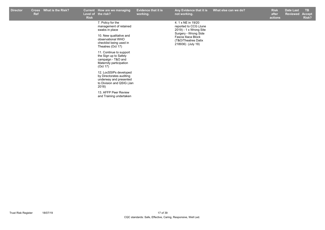| <b>Director</b> | Cross<br><b>Ref</b> | What is the Risk? | <b>Risk</b> | Current How are we managing<br>Level of the risk?                                                                                                                                                                                                                                                                                                                                                    | <b>Evidence that it is</b><br>working. | Any Evidence that it is<br>not working.                                                                                                                          | What else can we do? | <b>Risk</b><br>after<br>actions | <b>Date Last</b><br>Reviewed Accept | TB.<br>Risk? |
|-----------------|---------------------|-------------------|-------------|------------------------------------------------------------------------------------------------------------------------------------------------------------------------------------------------------------------------------------------------------------------------------------------------------------------------------------------------------------------------------------------------------|----------------------------------------|------------------------------------------------------------------------------------------------------------------------------------------------------------------|----------------------|---------------------------------|-------------------------------------|--------------|
|                 |                     |                   |             | 7. Policy for the<br>management of retained<br>swabs in place<br>10. New qualitative and<br>observational WHO<br>checklist being used in<br>Theatres (Oct 17)<br>11. Continue to support<br>the Sign up to Safety<br>campaign - T&O and<br>Maternity participation<br>(Oct 17)<br>12. LocSSIPs developed<br>by Directorates auditing<br>underway and presented<br>to Division and QSIG (Jan<br>2018) |                                        | 4. 1 x NE in 19/20<br>reported to CCG (June<br>2019) - 1 x Wrong Site<br>Surgery - Wrong Side<br>Fascia Iliaca Block<br>(T&O/Theatres Datix<br>218936) (July 19) |                      |                                 |                                     |              |
|                 |                     |                   |             | 13. AFFP Peer Review<br>and Training undertaken                                                                                                                                                                                                                                                                                                                                                      |                                        |                                                                                                                                                                  |                      |                                 |                                     |              |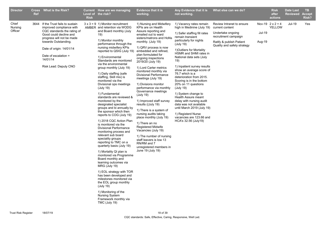| <b>Director</b>             | <b>Ref</b> | Cross What is the Risk?                                                                                                                                                                                                                                               | <b>Risk</b> | Current How are we managing<br>Level of the risk?                                                                                                                                                                                                                                                                                                                                                                                                                                                                                                                                                                                                                                                                                                                                                                                                                                                                                                                                                                                                                                                                                                                             | <b>Evidence that it is</b><br>working.                                                                                                                                                                                                                                                                                                                                                                                                                                                                                                                                                                                                                                                                                                                                                             | Any Evidence that it is<br>not working.                                                                                                                                                                                                                                                                                                                                                                                                                                                                                                                                                                                           | What else can we do?                                                                                                                                 |                  | <b>Risk</b><br>after<br>actions   | <b>Date Last</b><br><b>Reviewed</b> | TB.<br><b>Accept</b><br><b>Risk?</b> |
|-----------------------------|------------|-----------------------------------------------------------------------------------------------------------------------------------------------------------------------------------------------------------------------------------------------------------------------|-------------|-------------------------------------------------------------------------------------------------------------------------------------------------------------------------------------------------------------------------------------------------------------------------------------------------------------------------------------------------------------------------------------------------------------------------------------------------------------------------------------------------------------------------------------------------------------------------------------------------------------------------------------------------------------------------------------------------------------------------------------------------------------------------------------------------------------------------------------------------------------------------------------------------------------------------------------------------------------------------------------------------------------------------------------------------------------------------------------------------------------------------------------------------------------------------------|----------------------------------------------------------------------------------------------------------------------------------------------------------------------------------------------------------------------------------------------------------------------------------------------------------------------------------------------------------------------------------------------------------------------------------------------------------------------------------------------------------------------------------------------------------------------------------------------------------------------------------------------------------------------------------------------------------------------------------------------------------------------------------------------------|-----------------------------------------------------------------------------------------------------------------------------------------------------------------------------------------------------------------------------------------------------------------------------------------------------------------------------------------------------------------------------------------------------------------------------------------------------------------------------------------------------------------------------------------------------------------------------------------------------------------------------------|------------------------------------------------------------------------------------------------------------------------------------------------------|------------------|-----------------------------------|-------------------------------------|--------------------------------------|
| Chief<br>Nursing<br>Officer |            | 3644 If the Trust fails to sustain<br>improved compliance with<br>CQC standards the rating of<br>Good could decline and<br>progress will not be made<br>towards Outstanding.<br>Date of origin: 14/01/14<br>Date of escalation =<br>14/01/14<br>Risk Lead: Deputy CNO |             | $3 \times 3 = 9$ 1) Monitor recruitment<br>AMBER and retention via WODG<br>and Board monthly (July<br>19)<br>1) Monitor monthly<br>performance through the<br>nursing midwifery KPIs<br>reported to QSIG (July 19)<br>1) Environmental<br>Standards are monitored<br>via the environmental<br>group monthly (July 19)<br>1) Daily staffing (safe<br>staffing, Skill mix) is<br>monitored via the<br>Divisional ops meetings<br>(July 19)<br>1) Fundamental<br>standards are reviewed &<br>monitored by the<br>designated specialist<br>groups and bi annually by<br>the sponsor which then<br>reports to COG (July 19)<br>1) 2018 CQC Action Plan<br>is monitored via the<br><b>Divisional Performance</b><br>monitoring process and<br>relevant sub board<br>speciality groups<br>reporting to TMC on a<br>quarterly basis (July 19)<br>1) Mortality QI plan is<br>monitored via Programme<br>Board monthly and<br>learning outcomes via<br>MRG (July 19)<br>1) EOL strategy with TOR<br>has been developed and<br>milestones monitored via<br>the EOL group monthly<br>(July 19)<br>1) Monitoring of the<br><b>Nursing System</b><br>Framework monthly via<br>TMC (July 19) | 1) Nursing and Midwifery<br>KPIs are on Health<br>Assure reporting and<br>emailed out to ward<br>sisters/matrons and HoNs<br>monthly. (July 19)<br>1) QRV process is now<br>embedded and refined,<br>plan formulated for<br>ongoing inspections<br>2019/20 (July 19)<br>1) Lord Carter metrics<br>monitored monthly via<br><b>Divisional Performance</b><br>meetings (July 19)<br>1) Divisions monitor<br>performance via monthly<br>Governance meetings<br>(July 19)<br>1) Improved staff survey<br>results ((July 19)<br>1) There is a system of<br>nursing audits taking<br>place monthly (July 19)<br>1) There an no<br><b>Registered Midwife</b><br>Vacancies (July 19)<br>1) The number of nursing<br>staff leavers is low 13<br>RN/RM and 7<br>unregistered members in<br>June 19 (July 19) | 1) Vacancy rates remain<br>high in Medinine (July 19)<br>1) Safer staffing fill rates<br>remain transient<br>particularly for nights<br>(July 19)<br>1) Outliers for Mortality<br>HSMR and SHMI rates in<br>National data sets (July<br>19)<br>1) Inpatient survey results<br>show an average score of<br>76.7 which is a<br>deterioration from 2015.<br>Scoring is in the bottom<br>20% on 11 questions<br>(July 19)<br>1) System change to<br>Health Assure meant<br>delay with nursing audit<br>data was not available<br>until March 2019 (July 19)<br>1) Registerd Nurse<br>vacancies are 123.66 and<br>HCA's 32.56 (July19) | Review Intranet to ensure<br>current content<br>Undertake ongoing<br>recruitment campaign<br>Ratify & publish Patient<br>Quality and safety strategy | Jul-19<br>Aug-19 | Nov-19 $2 \times 2 = 4$<br>YELLOW | Jul-19                              | Yes                                  |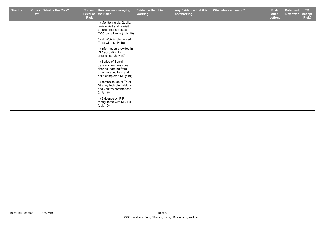| <b>Director</b> | <b>Cross</b><br><b>Ref</b> | What is the Risk? | <b>Risk</b> | Current How are we managing<br>Level of the risk?                                                                          | <b>Evidence that it is</b><br>working. | Any Evidence that it is<br>not working. | What else can we do? | <b>Risk</b><br>after<br>actions | <b>Date Last</b><br><b>Reviewed</b> | <b>TB</b><br><b>Accept</b><br>Risk? |
|-----------------|----------------------------|-------------------|-------------|----------------------------------------------------------------------------------------------------------------------------|----------------------------------------|-----------------------------------------|----------------------|---------------------------------|-------------------------------------|-------------------------------------|
|                 |                            |                   |             | 1) Monitoring via Quality<br>review visit and re-visit<br>programme to assess<br>CQC compliance (July 19)                  |                                        |                                         |                      |                                 |                                     |                                     |
|                 |                            |                   |             | 1) NEWS2 implemented<br>Trust-wide (July 19)                                                                               |                                        |                                         |                      |                                 |                                     |                                     |
|                 |                            |                   |             | 1) Information provided in<br>PIR according to<br>timescales (July 19)                                                     |                                        |                                         |                      |                                 |                                     |                                     |
|                 |                            |                   |             | 1) Series of Board<br>development sessions<br>sharing learning from<br>other insepections and<br>risks completed (July 19) |                                        |                                         |                      |                                 |                                     |                                     |
|                 |                            |                   |             | 1) comunication of Trust<br>Stragey including visions<br>and vaultes commenced<br>(July 19)                                |                                        |                                         |                      |                                 |                                     |                                     |
|                 |                            |                   |             | 1) Evidence on PIR<br>triangulated with KLOEs<br>(July 19)                                                                 |                                        |                                         |                      |                                 |                                     |                                     |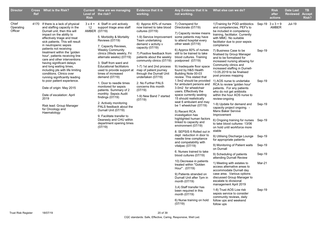| <b>Director</b>               | Cross<br><b>Ref</b> | What is the Risk?                                                                                                                                                                                                                                                                                                                                                                                                                                                                                                                                                                                                                                                               | <b>Risk</b>       | Current How are we managing<br>Level of the risk?                                                                                                                                                                                                                                                                                                                                                                                                                                                                                                                                                                                                                                          | <b>Evidence that it is</b><br>working.                                                                                                                                                                                                                                                                                                                                                                                                                           | Any Evidence that it is<br>not working.                                                                                                                                                                                                                                                                                                                                                                                                                                                                                                                                                                                                                                                                                                                                                                                                                                                                                                                                                                                                                                                                                                   | What else can we do?                                                                                                                                                                                                                                                                                                                                                                                                                                                                                                                                                                                                                                                                                                                                                                                                                                                                                                                                                                                                                                                                                                                                                                                                                                                                                                                                                                    |                                                                              | <b>Risk</b><br>after<br>actions  | <b>Date Last</b><br><b>Reviewed Accept</b> | TB<br>Risk? |
|-------------------------------|---------------------|---------------------------------------------------------------------------------------------------------------------------------------------------------------------------------------------------------------------------------------------------------------------------------------------------------------------------------------------------------------------------------------------------------------------------------------------------------------------------------------------------------------------------------------------------------------------------------------------------------------------------------------------------------------------------------|-------------------|--------------------------------------------------------------------------------------------------------------------------------------------------------------------------------------------------------------------------------------------------------------------------------------------------------------------------------------------------------------------------------------------------------------------------------------------------------------------------------------------------------------------------------------------------------------------------------------------------------------------------------------------------------------------------------------------|------------------------------------------------------------------------------------------------------------------------------------------------------------------------------------------------------------------------------------------------------------------------------------------------------------------------------------------------------------------------------------------------------------------------------------------------------------------|-------------------------------------------------------------------------------------------------------------------------------------------------------------------------------------------------------------------------------------------------------------------------------------------------------------------------------------------------------------------------------------------------------------------------------------------------------------------------------------------------------------------------------------------------------------------------------------------------------------------------------------------------------------------------------------------------------------------------------------------------------------------------------------------------------------------------------------------------------------------------------------------------------------------------------------------------------------------------------------------------------------------------------------------------------------------------------------------------------------------------------------------|-----------------------------------------------------------------------------------------------------------------------------------------------------------------------------------------------------------------------------------------------------------------------------------------------------------------------------------------------------------------------------------------------------------------------------------------------------------------------------------------------------------------------------------------------------------------------------------------------------------------------------------------------------------------------------------------------------------------------------------------------------------------------------------------------------------------------------------------------------------------------------------------------------------------------------------------------------------------------------------------------------------------------------------------------------------------------------------------------------------------------------------------------------------------------------------------------------------------------------------------------------------------------------------------------------------------------------------------------------------------------------------------|------------------------------------------------------------------------------|----------------------------------|--------------------------------------------|-------------|
| Chief<br>Operating<br>Officer |                     | 4170 If there is a lack of physical<br>and staffing capacity in the<br>Durnall unit, then this will<br>impact on the ability to<br>effectively triage and treat<br>sick patients. This will result<br>in neutropenic sepsis<br>patients not receiving<br>treatment within the 'golden<br>hour', patients receiving line<br>care and other interventions<br>having significant delays<br>and long waiting times,<br>including pts with life limiting<br>conditions. Clinics over<br>running significantly leading<br>to poor patient experience.<br>Date of origin: May 2015<br>Date of escalation: April<br>2019<br>Risk lead: Group Manager<br>for Oncology and<br>Haematology | $12 \overline{ }$ | $3 \times 4 = 4$ . Staff in unit actively<br>support triage area staff<br>AMBER (07/19)<br>5. Morbidity & Mortality<br>Reviews (07/19)<br>7. Capacity Reviews,<br><b>Weekly Community</b><br>clinics (Weds weekly, Fri<br>alternate weeks) (07/19)<br>3. Staff from ward and<br><b>Educational facilitators</b><br>used to provide support at<br>times of increased<br>demand (07/19)<br>1. Door to needle times<br>monitored for sepsis<br>patients. Summary of 2<br>monthly Sepsis Audit<br>findings (07/19)<br>2. Actively monitoring<br>PALS feedback about the<br>Durnall Unit (07/19)<br>9. Facilitate transfer to<br>Deanesly and CHU within<br>department opening times<br>(07/19) | 6) Approx 40% of nurses<br>now trained to take blood<br>cultures (07/19)<br>1-9) Service Improvement<br>Team undertaking<br>demand v activity v<br>capacity (07/19)<br>7) Positive feedback from<br>patients about the weekly<br>community clinics (07/19)<br>1-7) 1st and 2nd process<br>map of patient journey<br>through the Durnall Unit<br>undertaken (07/19)<br>2. No Further PALS<br>concerns this month<br>(07/19)<br>1-9) New Band 7 started<br>(07/19) | 7) Overspend for<br>Directorate (07/19)<br>7) Capacity review means<br>some patients may have<br>to attend hospital every<br>other week (07/19)<br>6) Approx 60% of nurses<br>still to be trained to take<br>blood cultures. Training<br>postponed (07/19)<br>9) Inadequate floor space<br>found by H&S Health<br>Building Note 00-03<br>review. This stated that<br>for ambulant persons and<br>3.0m2 for wheelchair<br>users. Effectively the<br>space currently seating<br>15 should realistically<br>seat 6 ambulant and may<br>be 1 wheelchair (07/19)<br>5) Recent RCA<br>investigation has<br>highlighted human factors<br>linked to capacity and<br>environment (07/19)<br>8. SEPSIS 6 Rolled out in<br>dept reduction in door to<br>needle time compliance<br>and compatability with<br>vitalpac $(07/19)$<br>6. Nurses trained to take<br>blood cultures (07/19)<br>10) Decrease in patients<br>treated within "Golden<br>Hour" . (07/19)<br>9) Patients stranded on<br>Durnall Unit after 7pm in<br>month (07/19)<br>3.4) Staff transfer has<br>been required in this<br>month (07/19)<br>6) Nurse training on hold<br>(07/19) | 1) Training for PGD antibiotics<br>and competencies, PEF's to<br>be included in competency<br>training, facilitator. Currently<br>with MMC. No suitable<br>facilitator due to poor sepsis<br>compliance<br>7) Business Case to be<br>finalised by Group Manager<br>and to be formalised for<br>increased nursing allowing for<br>Community clinics and<br>increased staffing in Durnell-<br>13.05.2019 to be finalised<br>post process mapping<br>1.5m2 should be provided 1) AOS nurse to undertake<br>RCA to review 'golden hour'<br>patients. For any patients<br>who do not get antibiotis<br>within the hour AOS nurse to<br>review-ongoing<br>1-9) Update for demand and<br>capacity project ongoing. -<br><b>Manx Baker Servive</b><br>Improvement<br>6) Ongoing training for nurses Sep-19<br>to take blood cultures- 13/06<br>on hold until workforce more<br>stable<br>9) Utilising Discharge Lounge<br>for appropriate patients<br>9) Monitoring of Patient waits<br>on Durnall<br>9) Scheduling of patients<br>attending Durnall Review<br>1) Meeting with estates to<br>access alternative areas to<br>accommodate Durnall day<br>case area. Various options<br>discussed Group Manager to<br>escalate to divisional<br>management April 2019<br>1-8) Trust AOS Low risk<br>sepsis service to consider<br>community reviews, daily<br>follow ups and weekend<br>follow ups | Sep-19<br>Sep-19<br>Sep-19<br>Sep-19<br>Sep-19<br>Sep-19<br>Mar-21<br>Sep-19 | Sep-19 $3 \times 3 = 9$<br>AMBER | <b>Jul-19</b>                              |             |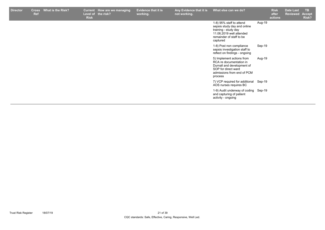| <b>Director</b> | <b>Cross</b><br><b>Ref</b> | What is the Risk? | <b>Current</b><br><b>Risk</b> | How are we managing<br>Level of the risk? | <b>Evidence that it is</b><br>working. | Any Evidence that it is<br>not working. | What else can we do?                                                                                                                                |        | <b>Risk</b><br>after<br>actions | Date Last<br><b>Reviewed Accept</b> | <b>TB</b><br>Risk? |
|-----------------|----------------------------|-------------------|-------------------------------|-------------------------------------------|----------------------------------------|-----------------------------------------|-----------------------------------------------------------------------------------------------------------------------------------------------------|--------|---------------------------------|-------------------------------------|--------------------|
|                 |                            |                   |                               |                                           |                                        |                                         | 1-8) 95% staff to attend<br>sepsis study day and online<br>training - study day<br>11.06.2019 well attended<br>remainder of staff to be<br>captured | Aug-19 |                                 |                                     |                    |
|                 |                            |                   |                               |                                           |                                        |                                         | 1-8) Post non compliance<br>sepsis investigation staff to<br>reflect on findings - ongoing                                                          | Sep-19 |                                 |                                     |                    |
|                 |                            |                   |                               |                                           |                                        |                                         | 5) Implement actions from<br>RCA re documentation in<br>Durnall and development of<br>SOP for direct ward<br>admissions from end of PCM<br>process  | Aug-19 |                                 |                                     |                    |
|                 |                            |                   |                               |                                           |                                        |                                         | 7) VCP required for additional Sep-19<br>AOS nurses requires BC                                                                                     |        |                                 |                                     |                    |
|                 |                            |                   |                               |                                           |                                        |                                         | 1-9) Audit underway of coding Sep-19<br>and capturing of patient<br>activity - ongoing                                                              |        |                                 |                                     |                    |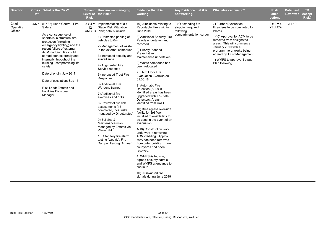| <b>Director</b>               | <b>Cross</b><br><b>Ref</b> | <b>What is the Risk?</b>                                                                                                                                                                                                                                                                                                                                                                                                                             | <b>Risk</b>  | Current How are we managing<br>Level of the risk?                                                                                                                                                                                                                                                                                                                                                                                                                                                                                                                                                                                                                            | <b>Evidence that it is</b><br>working.                                                                                                                                                                                                                                                                                                                                                                                                                                                                                                                                                                                                                                                                                                                                                                                                                                                                                 | Any Evidence that it is<br>not working.                                          | What else can we do?                                                                                                                                                                                                                                                                      | <b>Risk</b><br>after<br>actions | <b>Date Last</b><br><b>Reviewed</b> | <b>TB</b><br><b>Accept</b><br>Risk? |
|-------------------------------|----------------------------|------------------------------------------------------------------------------------------------------------------------------------------------------------------------------------------------------------------------------------------------------------------------------------------------------------------------------------------------------------------------------------------------------------------------------------------------------|--------------|------------------------------------------------------------------------------------------------------------------------------------------------------------------------------------------------------------------------------------------------------------------------------------------------------------------------------------------------------------------------------------------------------------------------------------------------------------------------------------------------------------------------------------------------------------------------------------------------------------------------------------------------------------------------------|------------------------------------------------------------------------------------------------------------------------------------------------------------------------------------------------------------------------------------------------------------------------------------------------------------------------------------------------------------------------------------------------------------------------------------------------------------------------------------------------------------------------------------------------------------------------------------------------------------------------------------------------------------------------------------------------------------------------------------------------------------------------------------------------------------------------------------------------------------------------------------------------------------------------|----------------------------------------------------------------------------------|-------------------------------------------------------------------------------------------------------------------------------------------------------------------------------------------------------------------------------------------------------------------------------------------|---------------------------------|-------------------------------------|-------------------------------------|
| Chief<br>Operating<br>Officer | 4375                       | (NX87) Heart Centre - Fire<br>Safety:<br>As a consequence of<br>shortfalls in structural fire<br>protection (including<br>emergency lighting) and the<br>recent failure of external<br>ACM cladding, fire could<br>spread both externally and<br>internally throughout the<br>building, compromising life<br>safety.<br>Date of origin: July 2017<br>Date of escalation: Sep 17<br>Risk Lead: Estates and<br><b>Facilities Divisional</b><br>Manager | $3x4=$<br>12 | Implementation of a 4<br><b>Stage Risk Mitigation</b><br>AMBER Plan; details include<br>1) Restricted parking of<br>vehicles to 6m<br>2) Management of waste<br>in the external compound<br>3) Increased security and<br>surveillance<br>4) Augmented Fire<br>Service reponse<br>5) Increased Trust Fire<br>Response<br>6) Additional Fire<br>Wardens trained<br>7) Additional fire<br>exercises and drills<br>8) Review of fire risk<br>assessments (15<br>completed, local risks<br>managed by Directorates)<br>9) Building &<br>Maintenance risks<br>managed by Estates via<br>Planet FM<br>10) Statutory fire alarm<br>testing (weekly), Fire<br>Damper Testing (Annual) | 10) 0 incidents relating to<br>Reportable Fire's within<br>June 2019<br>3) Additional Security Fire<br>Patrols undertaken and<br>recorded<br>9) Priority Planned<br>Preventative<br>Maintenance undertaken<br>2) Waste compound has<br>been relocated<br>7) Third Floor Fire<br>Evacuation Exercise on<br>31.05.18<br>9) Automatic Fire<br>Detection (AFD) in<br>identified areas has been<br>upgraded with Tri-State<br>Detectors, Areas<br>identified from UwFS<br>10) Break-glass over-ride<br>facility for 3rd floor<br>installed to enable lifts to<br>be used in the event of an<br>evacuation.<br>1-10) Construction work<br>underway in removing<br>ACM cladding. Approx<br>70% has been removed<br>from outer building. Inner<br>courtyards had been<br>resolved.<br>4) WMFSvisited site,<br>agreed security patrols<br>and WMFS attendance to<br>continue<br>10) 0 unwanted fire<br>signals during June 2019 | 9) Outstanding fire<br>stopping required<br>following<br>compartmentation survey | 7) Further Evacuation<br>Exercises to be completed for<br>Wards<br>1-10) Approval for ACM to be<br>removed from designated<br>areas. This will commence<br>January 2019 with a<br>prorgramme of works being<br>agreed by Trust Management<br>1) WMFS to approve 4 stage<br>Plan following | $2 \times 2 = 4$<br>YELLOW      | <b>Jul-19</b>                       |                                     |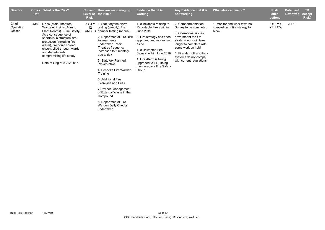| <b>Director</b>               | <b>Cross</b><br><b>Ref</b> | What is the Risk?                                                                                                                                                                                                                                                                                                  | <b>Current</b><br>Level of<br><b>Risk</b> | How are we managing<br>the risk?                                                                                                                                                                                                                                                                                                                                                                                                                                             | <b>Evidence that it is</b><br>working.                                                                                                                                                                                                                                         | Any Evidence that it is<br>not working.                                                                                                                                                                                                                     | What else can we do?                                                   | <b>Risk</b><br>after<br>actions   | <b>Date Last</b><br><b>Reviewed</b> | TB.<br><b>Accept</b><br>Risk? |
|-------------------------------|----------------------------|--------------------------------------------------------------------------------------------------------------------------------------------------------------------------------------------------------------------------------------------------------------------------------------------------------------------|-------------------------------------------|------------------------------------------------------------------------------------------------------------------------------------------------------------------------------------------------------------------------------------------------------------------------------------------------------------------------------------------------------------------------------------------------------------------------------------------------------------------------------|--------------------------------------------------------------------------------------------------------------------------------------------------------------------------------------------------------------------------------------------------------------------------------|-------------------------------------------------------------------------------------------------------------------------------------------------------------------------------------------------------------------------------------------------------------|------------------------------------------------------------------------|-----------------------------------|-------------------------------------|-------------------------------|
| Chief<br>Operating<br>Officer |                            | 4382 NX55 (Main Theatres,<br>Wards A12, A14, Admin,<br>Plant Rooms) - Fire Safety:<br>As a consequence of<br>shortfalls in structural fire<br>protection (including fire<br>alarm), fire could spread<br>uncontrolled through wards<br>and departments,<br>compromising life safety.<br>Date of Origin: 09/12/2015 | $3 \times 4 =$<br>12<br>AMBER             | 1. Statutory fire alarm<br>testing (weekly), fire<br>damper testing (annual)<br>2. Departmental Fire Risk<br>Assessments<br>undertaken. Main<br>Theatres frequency<br>increased to 6 monthly<br>due to risk<br>3. Statutory Planned<br>Preventative<br>4. Bespoke Fire Warden<br>Training<br>5. Additional Fire<br><b>Exercises and Drills</b><br>7. Revised Management<br>of External Waste in the<br>Compound<br>6. Departmental Fire<br>Warden Daily Checks<br>undertaken | 1. 0 incidents relating to<br>Reportable Fire's within<br>June 2019<br>3. Fire strategy has been<br>approved and money set<br>aside.<br>1.0 Unwanted Fire<br>Signals within June 2019<br>1. Fire Alarm is being<br>upgraded to L1. Being<br>montiored via Fire Safety<br>Group | 2. Compartmentation<br>Survey to be completed<br>3. Operational issues<br>have meant the fire<br>strategy work will take<br>longer to complete with<br>some work on hold<br>1. Fire alarm & ancilliary<br>systems do not comply<br>with current regulations | 1. monitor and work towards<br>completion of fire stategy for<br>block | $2 \times 2 = 4$<br><b>YELLOW</b> | Jul-19                              |                               |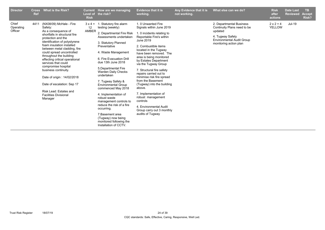| <b>Director</b>               | <b>Cross</b><br><b>Ref</b> | What is the Risk?                                                                                                                                                                                                                                                                                                                                                                                                                                                                                               | <b>Level of</b><br><b>Risk</b>               | <b>Current</b> How are we managing<br>the risk?                                                                                                                                                                                                                                                                                                                                                                                                                                                                                                                              | <b>Evidence that it is</b><br>working.                                                                                                                                                                                                                                                                                                                                                                                                                                                                                                                           | Any Evidence that it is<br>not working. | What else can we do?                                                                                                                                 | <b>Risk</b><br>after<br>actions   | <b>Date Last</b><br><b>Reviewed</b> | <b>TB</b><br><b>Accept</b><br>Risk? |
|-------------------------------|----------------------------|-----------------------------------------------------------------------------------------------------------------------------------------------------------------------------------------------------------------------------------------------------------------------------------------------------------------------------------------------------------------------------------------------------------------------------------------------------------------------------------------------------------------|----------------------------------------------|------------------------------------------------------------------------------------------------------------------------------------------------------------------------------------------------------------------------------------------------------------------------------------------------------------------------------------------------------------------------------------------------------------------------------------------------------------------------------------------------------------------------------------------------------------------------------|------------------------------------------------------------------------------------------------------------------------------------------------------------------------------------------------------------------------------------------------------------------------------------------------------------------------------------------------------------------------------------------------------------------------------------------------------------------------------------------------------------------------------------------------------------------|-----------------------------------------|------------------------------------------------------------------------------------------------------------------------------------------------------|-----------------------------------|-------------------------------------|-------------------------------------|
| Chief<br>Operating<br>Officer | 4411                       | (NX08/09) McHale - Fire<br>Safety:<br>As a consequence of<br>shortfalls in structural fire<br>protection and the<br>identification of polystyrene<br>foam insulation installed<br>between metal cladding, fire<br>could spread uncontrolled<br>throughout the building<br>effecting critical operational<br>services that could<br>compromise hospital<br>business continuity.<br>Date of origin: 14/02/2018<br>Date of escalation: Sep 17<br>Risk Lead: Estates and<br><b>Facilities Divisional</b><br>Manager | $3 \times 4 =$<br>$12 \overline{ }$<br>AMBER | 1. Statutory fire alarm<br>testing (weekly)<br>2. Departmental Fire Risk<br>Assessments undertaken<br>3. Statutory Planned<br>Preventative<br>4. Waste Management<br>6. Fire Evacuation Drill<br>due 13th June 2018<br>5. Departmental Fire<br><b>Warden Daily Checks</b><br>undertaken<br>7. Tugway Safety &<br><b>Environmental Group</b><br>commenced May 2018<br>4. Implementation of<br>robust waste<br>management controls to<br>reduce the risk of a fire<br>occurring.<br>7. Basement area<br>(Tugway) now being<br>monitored following the<br>Installation of CCTV. | 1.0 Unwanted Fire<br>Signals within June 2019<br>1. 0 incidents relating to<br>Reportable Fire's within<br>June 2019<br>2. Combustible items<br>located in the Tugway<br>have been removed. The<br>area is being monitored<br>by Estates Department<br>via the Tugway Group<br>7. Structural fire safety<br>repairs carried out to<br>minimise risk fire spread<br>from the Basement<br>(Tugway) into the building<br>above.<br>7. Implementation of<br>robust management<br>controls<br>4. Environmental Audit<br>Group carry out 3 monthly<br>audits of Tugway |                                         | 2. Departmental Business<br>Continuity Plans need to be<br>updated<br>4. Tugway Safety<br><b>Environmental Audit Group</b><br>monitoring action plan | $2 \times 2 = 4$<br><b>YELLOW</b> | Jul-19                              |                                     |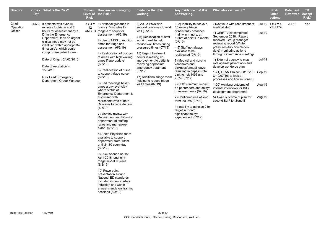| Chief<br><b>Jul-19</b><br>4472 If patients wait over 15<br>$3 \times 4 = 1$ ) National guidance in<br>8) Acute Physician<br>1, 2) Inability to achieve<br>7) Continue with recruitment of<br>Jul-19 $1 \times 4 = 4$<br>Yes<br>Operating<br>minutes for triage and 2<br>place (15 minutes for<br>support continues to work<br>15 minute triage<br>medical staff<br>YELLOW<br>12<br>Officer<br>hours for assessment by a<br>AMBER triage & 2 hours for<br>well (07/19)<br>consistently breaches<br>1) GIRFT Visit completed<br><b>Jul-19</b><br>Dr in the Emergency<br>assessment) (6/3/19)<br>mainly in minors, at<br>September 2018. Report<br>4-5) Reallocation of staff<br>Department, then an urgent<br>1.5hrs at points in month<br>received, Group Manager<br>2) Use of MSS to monitor<br>working well to help<br>clinical need may not be<br>(07/19)<br>reviewing report (Winter<br>times for triage and<br>reduce wait times during<br>identified within appropriate<br>pressures July completion<br>assessment (6/3/19)<br>pressured times (07/19)<br>4,5) Staff not always<br>timescale's, which could<br>date) monitoring actions<br>available to be<br>compromise patient care.<br>4) Reallocation of doctors<br>15) Urgent treatment<br>through Governance meetings<br>reallocated (07/19)<br>doctor is making an<br>to areas with high waiting<br>Date of Origin: 24/02/2016<br><b>Jul-19</b><br>1) External agency to map<br>times if appropriate<br>improvement to patients<br>7) Medical and nursing<br>rota against patient no's and<br>(6/3/19)<br>recieving appropiate<br>vacancies and<br>Date of escalation =<br>develop workforce plan<br>emergency treatment<br>sickness/annual leave<br>5) Reallocation of nurse<br>15/04/16<br>(07/19)<br>resulting in gaps in rota.<br>1-21) LEAN Project (28/06/19<br>Sep-19<br>to support triage nurse<br>Link to risk 4496 and<br>& 19/07/19) to look at<br>17) Additional triage room<br>Risk Lead: Emergency<br>(6/3/19)<br>2374 (07/19)<br>processes and flow in Zone B<br>Department Group Manager<br>helping to reduce triage<br>6) Bed meetings held 3<br>wait times $(07/19)$<br>9) UCC minimum impact<br>1-20) Awaiting outcome of<br>Aug-19<br>times a day everyday<br>on pt numbers and delays<br>internal interviews for Bd 7<br>where status of<br>in assessments (07/19)<br>development programme<br><b>Emergency Department is</b><br>discussed with<br>5) Await outcome of plan for<br>Aug-19<br>7) Continued use of long<br>second Bd 7 for Zone B<br>representatives of both<br>term locums (07/19)<br>Divisions to facilitate flow<br>1) Inability to acheive 2 hr<br>(6/3/19)<br>target in month,<br>significant delays<br>7) Monthly review with<br>Recruitment and Finance<br>experienced (07/19)<br>department of staffing<br>ratios and man-power<br>plans (6/3/19)<br>8) Acute Physician team<br>available to support<br>department from 10am<br>until 21.30 every day<br>(6/3/19)<br>9) UCC opened on 1st<br>April 2016 and joint<br>triage model in place.<br>(6/3/19)<br>10) Powerpoint<br>presentation around<br>National ED standards<br>included in new starters<br>induction and within | <b>Director</b> | <b>Ref</b> | Cross What is the Risk? | <b>Risk</b> | <b>Current</b> How are we managing<br>Level of the risk? | <b>Evidence that it is</b><br>working. | Any Evidence that it is<br>not working. | What else can we do? | <b>Risk</b><br>after<br>actions | <b>Date Last</b><br><b>Reviewed</b> | TB.<br><b>Accept</b><br>Risk? |
|--------------------------------------------------------------------------------------------------------------------------------------------------------------------------------------------------------------------------------------------------------------------------------------------------------------------------------------------------------------------------------------------------------------------------------------------------------------------------------------------------------------------------------------------------------------------------------------------------------------------------------------------------------------------------------------------------------------------------------------------------------------------------------------------------------------------------------------------------------------------------------------------------------------------------------------------------------------------------------------------------------------------------------------------------------------------------------------------------------------------------------------------------------------------------------------------------------------------------------------------------------------------------------------------------------------------------------------------------------------------------------------------------------------------------------------------------------------------------------------------------------------------------------------------------------------------------------------------------------------------------------------------------------------------------------------------------------------------------------------------------------------------------------------------------------------------------------------------------------------------------------------------------------------------------------------------------------------------------------------------------------------------------------------------------------------------------------------------------------------------------------------------------------------------------------------------------------------------------------------------------------------------------------------------------------------------------------------------------------------------------------------------------------------------------------------------------------------------------------------------------------------------------------------------------------------------------------------------------------------------------------------------------------------------------------------------------------------------------------------------------------------------------------------------------------------------------------------------------------------------------------------------------------------------------------------------------------------------------------------------------------------------------------------------------------------------------------------------------------------------------------------------------------------------------------------|-----------------|------------|-------------------------|-------------|----------------------------------------------------------|----------------------------------------|-----------------------------------------|----------------------|---------------------------------|-------------------------------------|-------------------------------|
| sessions (6/3/19)                                                                                                                                                                                                                                                                                                                                                                                                                                                                                                                                                                                                                                                                                                                                                                                                                                                                                                                                                                                                                                                                                                                                                                                                                                                                                                                                                                                                                                                                                                                                                                                                                                                                                                                                                                                                                                                                                                                                                                                                                                                                                                                                                                                                                                                                                                                                                                                                                                                                                                                                                                                                                                                                                                                                                                                                                                                                                                                                                                                                                                                                                                                                                                    |                 |            |                         |             | annual mandatory training                                |                                        |                                         |                      |                                 |                                     |                               |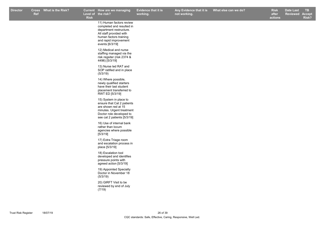**Evidence that it is working.**

**How are we managing TB Any Evidence that it is not working.**

**Risk** 11) Human factors review completed and resulted in department restructure. All staff provided with human factors training and rapid improvement events [6/3/19] 12) Medical and nurse staffing managed via the risk regsiter (risk 2374 & 4496) [5/3/19] 13) Nurse led RAT and SOP ratified and in place (5/3/19) 14) Where possible, newly qualified starters have their last student placement transferred to RWT ED [5/3/19] 15) System in place to ensure that Cat 2 patients are shown red at 15 minutes. Urgent treatment Doctor role developed to see cat 2 patients [5/3/19] 16) Use of internal bank rather than locum agencies where possible [5/3/19] 17) Extra Triage room and escalation process in place [5/3/19] 18) Escalation tool developed and identifies pressure points with agreed action [5/3/19] 19) Appointed Specialty Doctor in November 18 (5/3/19) 20) GIRFT Visit to be reviewed by end of July (7/19)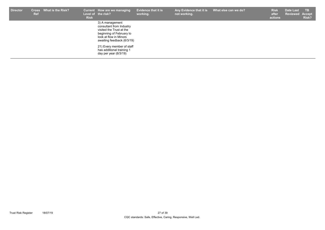| <b>Director</b> | <b>Cross</b><br><b>Ref</b> | What is the Risk? | <b>Risk</b> | Current How are we managing<br>Level of the risk?                                                                                                           | <b>Evidence that it is</b><br>working. | Any Evidence that it is<br>not working. | What else can we do? | <b>Risk</b><br>after<br>actions | <b>Date Last</b><br>Reviewed Accept | <b>TB</b><br>Risk? |
|-----------------|----------------------------|-------------------|-------------|-------------------------------------------------------------------------------------------------------------------------------------------------------------|----------------------------------------|-----------------------------------------|----------------------|---------------------------------|-------------------------------------|--------------------|
|                 |                            |                   |             | 3) A management<br>consultant from Industry<br>visited the Trust at the<br>beginning of February to<br>look at flow in Minors<br>awaiting feedback (6/3/19) |                                        |                                         |                      |                                 |                                     |                    |
|                 |                            |                   |             | 21) Every member of staff<br>has additional training 1<br>day per year $(6/3/19)$                                                                           |                                        |                                         |                      |                                 |                                     |                    |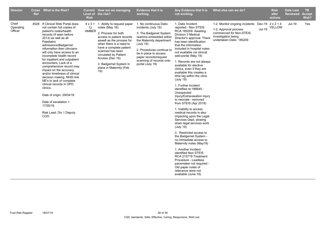| <b>Director</b>               | Ref | Cross What is the Risk?                                                                                                                                                                                                                                                                                                                                                                                                                                                                                                                                                                                                       | Current<br>Level of<br><b>Risk</b> | How are we managing<br>the risk?                                                                                                                                                                                                                                                                                                 | <b>Evidence that it is</b><br>working.                                                                                                                                                                                                                                     | Any Evidence that it is<br>not working.                                                                                                                                                                                                                                                                                                                                                                                                                                                                                                                                                                                                                                                                                                                                                                                                                                                                                                                                                                                           | What else can we do?                                                                                                                  |               | <b>Risk</b><br>after<br>actions   | Date Last<br><b>Reviewed</b> | TB.<br><b>Accept</b><br>Risk? |
|-------------------------------|-----|-------------------------------------------------------------------------------------------------------------------------------------------------------------------------------------------------------------------------------------------------------------------------------------------------------------------------------------------------------------------------------------------------------------------------------------------------------------------------------------------------------------------------------------------------------------------------------------------------------------------------------|------------------------------------|----------------------------------------------------------------------------------------------------------------------------------------------------------------------------------------------------------------------------------------------------------------------------------------------------------------------------------|----------------------------------------------------------------------------------------------------------------------------------------------------------------------------------------------------------------------------------------------------------------------------|-----------------------------------------------------------------------------------------------------------------------------------------------------------------------------------------------------------------------------------------------------------------------------------------------------------------------------------------------------------------------------------------------------------------------------------------------------------------------------------------------------------------------------------------------------------------------------------------------------------------------------------------------------------------------------------------------------------------------------------------------------------------------------------------------------------------------------------------------------------------------------------------------------------------------------------------------------------------------------------------------------------------------------------|---------------------------------------------------------------------------------------------------------------------------------------|---------------|-----------------------------------|------------------------------|-------------------------------|
| Chief<br>Operating<br>Officer |     | 4528 If Clinical Web Portal does<br>not contain full copies of<br>patient's notes/health<br>records (if seen before<br>2013) as well as all<br>Paediatric<br>admissions/Badgernet<br>information then clincians<br>will only have access to an<br>incomplete health record<br>for inpatient and outpatient<br>encounters. Lack of a<br>comprehensive record may<br>impact on the accuracy<br>and/or timeliness of clinical<br>decision making. NHSI link<br>NE's to lack of complete<br>clinical records in OPD<br>clinics.<br>Date of origin: 29/04/16<br>Date of escalation =<br>17/05/16<br>Risk Lead: Div 1 Deputy<br>COO | 12<br>AMBER                        | $4 \times 3 = 1$ . Ability to request paper<br>notes (May 16)<br>2. Process for both<br>access to patient records<br>aswell as the process for<br>when there is a need to<br>have a complete patient<br>scanned has been<br>circulated by Patient<br>Access (Dec 16)<br>3. Badgernet System in<br>place in Maternity (Feb<br>19) | 1. No continuous Datix<br>incidents (July 19)<br>3. The Badgenet System<br>reamins embedded within<br>the Maternity department<br>(July 19)<br>2. Procedures continue to<br>be in place to access<br>paper records/request<br>scanning of records onto<br>portal (July 19) | 1. Datix Incident<br>reported - Non STEIS<br>RCA 185209: Awaiting<br>Division 3 Medical<br>Director's approval. There<br>has been identification<br>that the information<br>included in hospital notes<br>not available via clinical<br>web-portal (May 19)<br>1. Records are not always<br>available for elective<br>clinics, even if they are<br>available this creates a<br>time lag within the clinic<br>(July 19)<br>1. Further incident<br>identified re:186645 -<br>Unexpected<br>Injury/Extravasation injury<br>to neonate - removed<br>from STEIS (Apr 2018)<br>1. Inability to access<br>medical records is also<br>impacting upon the Legal<br>Services Dept, slowing<br>down legal services work<br>(July 19)<br>3. Restricted access to<br>the Badgernet System -<br>no immediate access to<br>Maternity notes (May19)<br>1. Another incident<br>identified Non STEIS<br>RCA 215719 Treatment<br>Procedure - Leadless<br>pacemaker not required -<br>Old paper notes of<br>relevance were not<br>available (June 19) | 1-2. Monitor ongoing incidents<br>1-2. Approval process<br>commenced for Non-STEIS<br>investigation being<br>undertaken Datix: 185209 | <b>Jul-19</b> | Dec-19 $2 \times 2 = 4$<br>YELLOW | <b>Jul-19</b>                | Yes                           |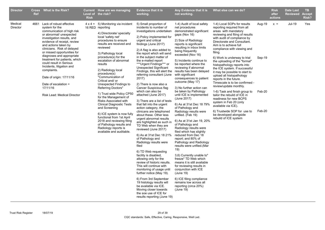| <b>Director</b>     | <b>Ref</b> | Cross What is the Risk?                                                                                                                                                                                                                                                                                                                                                                                                                                                                         | <b>Risk</b> | Current How are we managing<br>Level of the risk?                                                                                                                                                                                                                                                                                                                                                                                                                                                                                                                                                                                                                                                              | <b>Evidence that it is</b><br>working.                                                                                                                                                                                                                                                                                                                                                                                                                                                                                                                                                                                                                                                                                                                                                                                                                                                                                                                                                                                                                                                                                                                                                                        | Any Evidence that it is<br>not working.                                                                                                                                                                                                                                                                                                                                                                                                                                                                                                                                                                                                                                                                                                                                                                                                                                                                                                                                                                                                                           | What else can we do?                                                                                                                                                                                                                                                                                                                                                                                                                                                                                                                                                                                                                                                                                                                                                        |                                      | <b>Risk</b><br>after<br>actions | <b>Date Last</b><br><b>Reviewed</b> | TB.<br><b>Accept</b><br><b>Risk?</b> |
|---------------------|------------|-------------------------------------------------------------------------------------------------------------------------------------------------------------------------------------------------------------------------------------------------------------------------------------------------------------------------------------------------------------------------------------------------------------------------------------------------------------------------------------------------|-------------|----------------------------------------------------------------------------------------------------------------------------------------------------------------------------------------------------------------------------------------------------------------------------------------------------------------------------------------------------------------------------------------------------------------------------------------------------------------------------------------------------------------------------------------------------------------------------------------------------------------------------------------------------------------------------------------------------------------|---------------------------------------------------------------------------------------------------------------------------------------------------------------------------------------------------------------------------------------------------------------------------------------------------------------------------------------------------------------------------------------------------------------------------------------------------------------------------------------------------------------------------------------------------------------------------------------------------------------------------------------------------------------------------------------------------------------------------------------------------------------------------------------------------------------------------------------------------------------------------------------------------------------------------------------------------------------------------------------------------------------------------------------------------------------------------------------------------------------------------------------------------------------------------------------------------------------|-------------------------------------------------------------------------------------------------------------------------------------------------------------------------------------------------------------------------------------------------------------------------------------------------------------------------------------------------------------------------------------------------------------------------------------------------------------------------------------------------------------------------------------------------------------------------------------------------------------------------------------------------------------------------------------------------------------------------------------------------------------------------------------------------------------------------------------------------------------------------------------------------------------------------------------------------------------------------------------------------------------------------------------------------------------------|-----------------------------------------------------------------------------------------------------------------------------------------------------------------------------------------------------------------------------------------------------------------------------------------------------------------------------------------------------------------------------------------------------------------------------------------------------------------------------------------------------------------------------------------------------------------------------------------------------------------------------------------------------------------------------------------------------------------------------------------------------------------------------|--------------------------------------|---------------------------------|-------------------------------------|--------------------------------------|
| Medical<br>Director |            | 4661 Lack of robust effective<br>system for the<br>communication of high risk<br>or abnormal/ unexpected<br>investigation results, and<br>evidence of receipt, review<br>and actions taken by<br>clinicians. Risk of delayed<br>or missed opportunities for<br>diagnoses and appropriate<br>treatment for patients, which<br>could result in Serious<br>Incidents, litigation and<br>complaints.<br>Date of origin: 17/11/16<br>Date of escalation =<br>17/11/16<br>Risk Lead: Medical Director |             | $4 \times 4 = 5$ ) Monitoring via incident<br>16 RED reporting<br>4) Directorate/ specialty<br>local 'safety net'<br>procedures to ensure<br>results are received and<br>reviewed<br>3) Pathology local<br>procedure(s) for the<br>escalation of abnormal<br>results<br>2) Radiology local<br>procedure(s)<br>"Communication of<br>Critical and/or<br>Unexpected Findings to<br>Referring Doctors"<br>1) Trust wide Policy CP50<br>for the Management of<br>Risks Associated with<br><b>Clinical Diagnostic Tests</b><br>and Screening<br>6) ICE system is now fully<br>functional from 1st April<br>2018 and reviewing filing<br>of Pathology results and<br>Radiology reports is<br>available and auditable. | 5) Small proportion of<br>incidents to number of<br>investigations undertaken<br>2) Policy implemented for<br>urgent and critical<br>findings (June 2017)<br>2) A flag is also added to<br>the report which will send<br>in the subject matter of<br>the e-mailed report<br>***Urgent Findings*** or<br>Unexpected Significant<br>Findings, this will alert the<br>referring consultant (June<br>2017)<br>2) There is now also a<br>Cancer Suspicious flag<br>which can also be<br>attached (June 2017)<br>3) There are a list of tests<br>that fall into the urgent<br>action category, the<br>clinicans are telephoned<br>about these. Other less<br>urgent abnormal results<br>are highlighted as such in<br>TD Web when they are<br>reviewed (June 2017)<br>6) As at 31st Dec 18 21%<br>of Pathology and<br>Radiology results were<br>filed<br>6) TD Web requesting<br>facility is disabled,<br>allowing only for the<br>review of historic results.<br>This will continue with<br>monitoring of usage until<br>further notice (May 19).<br>6) From 3rd September<br>19 histology results will<br>be available via ICE.<br>Moving closer towards<br>the soe use of ICE for<br>results reporting (June 19) | 1-4) Audit of local safety<br>net procedures<br>demonstrated significant<br>gaps (Nov 16)<br>2) Size of Radiology<br>reports is significant<br>resulting in inbox limits<br>being frequently<br>exceeded (Nov 16)<br>5) Incidents continue to<br>be reported where the<br>reviewing if abnormal<br>results has been delayed<br>with significant<br>consequences to patient<br>outcome (May 17)<br>3) No further action can<br>be taken by Pathology<br>until ICE is implemented<br>(June 2017)<br>6) As at 31st Dec 18 79%<br>of Pathology and<br>Radiology results were<br>unfiled. (Feb 19)<br>6) As at 31st Jan 19, 20%<br>of Pathology and<br>Radiology results were<br>filed which has slightly<br>reduced from Dec 18<br>report; and 80% of<br>Pathology and Radiology<br>results were unfiled.(Mar<br>19)<br>3,6) Currently unable to"<br>freeze" TD Web which<br>means it is still available<br>for reviewing results in<br>conjunction with ICE<br>(June 19)<br>6) ICE filing compliance<br>remains low across all<br>reporting (circa 20%)<br>(June 19) | 1-4) Local SOPs for results<br>reporting required from all<br>areas with mandatory<br>reviewing and filing of results<br>with audit of compliance by<br>Directorate and Consultant.<br>Aim is to achieve full<br>compliance with viewing and<br>filing.<br>6) Work is underway to trial<br>the uploading of the "formal"<br>histopathology reports into<br>the ICE system. If successful<br>it may be possible to start to<br>upload all histopathology<br>reports in the future.<br>Timescale is to be confirmed -<br>review/update monthly.<br>1-6) Task and finish group to<br>tailor the rebuild of ICE in<br>readiness for new BCPS<br>system in Feb 20 (only<br>available via ICE).<br>6) Trustwide SOP for use to<br>be developed alongside<br>rebuild of ICE system | Aug-19<br>Sep-19<br>Feb-20<br>Feb-20 | $x =$                           | Jul-19                              | Yes                                  |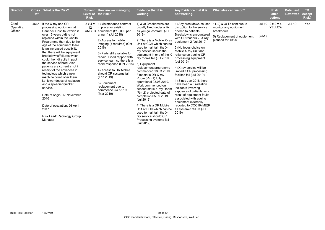| <b>Director</b>               | <b>Cross</b><br>Ref | <b>What is the Risk?</b>                                                                                                                                                                                                                                                                                                                                                                                                                                                                                                                                                                                                                                                        | Level of<br><b>Risk</b> | Current How are we managing<br>the risk?                                                                                                                                                                                                                                                                                                                                                                                               | <b>Evidence that it is</b><br>working.                                                                                                                                                                                                                                                                                                                                                                                                                                                                                                                                                                                                                                                  | Any Evidence that it is<br>not working.                                                                                                                                                                                                                                                                                                                                                                                                                                                                                                                                                                                      | What else can we do?                                                                                                    |               | <b>Risk</b><br>after<br>actions   | <b>Date Last</b><br><b>Reviewed</b> | TB.<br><b>Accept</b><br>Risk? |
|-------------------------------|---------------------|---------------------------------------------------------------------------------------------------------------------------------------------------------------------------------------------------------------------------------------------------------------------------------------------------------------------------------------------------------------------------------------------------------------------------------------------------------------------------------------------------------------------------------------------------------------------------------------------------------------------------------------------------------------------------------|-------------------------|----------------------------------------------------------------------------------------------------------------------------------------------------------------------------------------------------------------------------------------------------------------------------------------------------------------------------------------------------------------------------------------------------------------------------------------|-----------------------------------------------------------------------------------------------------------------------------------------------------------------------------------------------------------------------------------------------------------------------------------------------------------------------------------------------------------------------------------------------------------------------------------------------------------------------------------------------------------------------------------------------------------------------------------------------------------------------------------------------------------------------------------------|------------------------------------------------------------------------------------------------------------------------------------------------------------------------------------------------------------------------------------------------------------------------------------------------------------------------------------------------------------------------------------------------------------------------------------------------------------------------------------------------------------------------------------------------------------------------------------------------------------------------------|-------------------------------------------------------------------------------------------------------------------------|---------------|-----------------------------------|-------------------------------------|-------------------------------|
| Chief<br>Operating<br>Officer | 4665                | If the X-ray and CR<br>processing equipment at<br>Cannock Hospital (which is<br>over 13 years old) is not<br>replaced within the Capital<br>Programme then due to the<br>age of the equipment there<br>is an increased possibility<br>that there will be equipment<br>breakdowns/failures which<br>could then directly impact<br>the service offered. Also,<br>patients are currently not in<br>receipt of the advances in<br>technology which a new<br>machine could offer them<br>i.e. lower doses of radiation<br>and a speedier/quicker<br>service.<br>Date of origin: 17 November<br>2016<br>Date of escalation: 26 April<br>2017<br>Risk Lead: Radiology Group<br>Manager | $3 \times 4 =$<br>12    | 1) Maintenance contract<br>in place for existing<br>AMBER equipment (£19,000 per<br>annum) (Jul 2018)<br>2) Access to mobile<br>imaging (if required) (Oct<br>2016)<br>3) Parts still available for<br>repair. Good rapport with<br>service team so there is a<br>rapid response (Oct 2018)<br>4) Access to DR Mobile<br>should CR systems fail<br>(Feb 2019)<br>5) Equipment<br>replacement due to<br>commence Q4 18-19<br>(Mar 2019) | 1) & 3) Breakdowns are<br>usually fixed under a 'fix<br>as you go' contract. (Jul<br>2019)<br>2) There is a Mobile X-ray<br>Unit at CCH which can be<br>used to maintain the X-<br>ray service should the<br>equipment in one of the X-<br>ray rooms fail (Jul 2019<br>5) Equipment<br>replacement programme<br>commenced 18.03.2019.<br>First static DR X-ray<br>Room (Rm 1) fully<br>operational 03.06.2019.<br>Work commenced on<br>second static X-ray Room<br>(Rm 2) projected date of<br>completion 05.09.2019.<br>(Jul 2019)<br>4) There is a DR Mobile<br>Unit at CCH which can be<br>used to maintain the X-<br>ray service should CR<br>Processing systems fail<br>(Jul 2019) | 1) Any breakdown causes<br>disruption to the service<br>offered to patients.<br>Breakdowns encountered<br>with CR readers 2; X-ray<br>equipment 2 (Jul 2019)<br>2) No focus choice on<br>Mobile X-ray Unit and<br>reliance on ageing CR<br>processing equipment<br>(Jul 2019)<br>4) X-ray service will be<br>limited if CR processing<br>facilites fail (Jul 2019)<br>1) Since Jan 2018 there<br>have been a 5 radiation<br>incidents involving<br>exposure of patients as a<br>result of equipment faults<br>associated with ageing<br>equipment externally<br>reported to CQC IR(ME)R<br>as systemic failure (Jul<br>2019) | 1), 2) $\&$ 3) To continue to<br>monitor any equipment<br>breakdown<br>5) Replacement of equipment<br>planned for 19/20 | <b>Jul-19</b> | Jul-19 $2 \times 2 = 4$<br>YELLOW | Jul-19                              | Yes                           |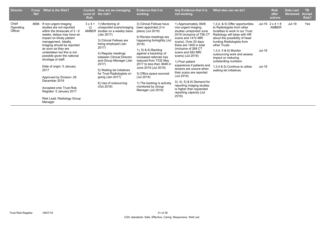| <b>Director</b>               | <b>Cross</b><br>Ref | <b>What is the Risk?</b>                                                                                                                                                                                                                                                                                                                                                                                                                                                                         | <b>Risk</b>                   | Current How are we managing<br>Level of the risk?                                                                                                                                                                                                                                                                                                                      | <b>Evidence that it is</b><br>working.                                                                                                                                                                                                                                                                                                                                                                             | Any Evidence that it is<br>not working.                                                                                                                                                                                                                                                                                                                                                                                                                                                        | What else can we do?                                                                                                                                                                                                                                                                                                                                                                |                  | <b>Risk</b><br>after<br>actions  | <b>Date Last</b><br><b>Reviewed</b> | TB.<br><b>Accept</b><br>Risk? |
|-------------------------------|---------------------|--------------------------------------------------------------------------------------------------------------------------------------------------------------------------------------------------------------------------------------------------------------------------------------------------------------------------------------------------------------------------------------------------------------------------------------------------------------------------------------------------|-------------------------------|------------------------------------------------------------------------------------------------------------------------------------------------------------------------------------------------------------------------------------------------------------------------------------------------------------------------------------------------------------------------|--------------------------------------------------------------------------------------------------------------------------------------------------------------------------------------------------------------------------------------------------------------------------------------------------------------------------------------------------------------------------------------------------------------------|------------------------------------------------------------------------------------------------------------------------------------------------------------------------------------------------------------------------------------------------------------------------------------------------------------------------------------------------------------------------------------------------------------------------------------------------------------------------------------------------|-------------------------------------------------------------------------------------------------------------------------------------------------------------------------------------------------------------------------------------------------------------------------------------------------------------------------------------------------------------------------------------|------------------|----------------------------------|-------------------------------------|-------------------------------|
| Chief<br>Operating<br>Officer | 4696                | If non-urgent imaging<br>studies are not reported<br>within the timescale of $3 - 6$<br>weeks, delays may have an<br>impact on timely patient<br>management. Ideally,<br>imaging should be reported<br>as soon as they are<br>undertaken but this is not<br>possible given the national<br>shortage of staff.<br>Date of origin: 5 January<br>2017<br>Approved by Division: 28<br>December 2016<br>Accepted onto Trust Risk<br>Register: 5 January 2017<br>Risk Lead: Radiology Group<br>Manager | $3 \times 4 =$<br>12<br>AMBER | 1) Monitoring of<br>unreported scans/imaging<br>studies on a weekly basis<br>(Jan 2017)<br>3) Clinical Fellows are<br>being employed (Jan<br>2017)<br>4) Regular meetings<br>between Clinical Director<br>and Group Manager (Jan<br>2017)<br>5) Waiting list initiatives<br>for Trust Radiologists on<br>going $($ Jan 2017 $)$<br>6) Use of outsourcing<br>(Oct 2018) | 3) Clinical Fellows have<br>been appointed (3 in<br>place) (Jul 2019)<br>4) Review meetings are<br>happening fortnightly (Jul<br>2019)<br>1), 5) & 6) Backlog<br>against a backdrop of<br>increased referrals has<br>reduced from 7332 May<br>2017 to less than 3648 in<br>June 2019 (Jul 2019)<br>3) Office space sourced<br>(Jul 2019)<br>1) The backlog is actively<br>monitored by Group<br>Manager (Jul 2019) | 1) Approximately 3648<br>non-urgent imaging<br>studies unreported June<br>2019 (inclusive of 706 CT<br>scans and 1472 MRI<br>scans). Over 20 days<br>there are 1400 in total<br>(inclusive of 268 CT<br>scans and 582 MRI<br>scans) (Jul 2019)<br>1) Poor patient<br>experience if patients and<br>doctors are unsure when<br>their scans are reported<br>(Jul 2019)<br>3), 4), 5) & 6) Demand for<br>reporting imaging studies<br>is higher than expanded<br>reporting capacity (Jul<br>2019) | 1,3,4, & 5) Offer opportunities<br>to Radiologists from other<br>localities to work in our Trust.<br>Radiology will liaise with HR<br>about the possibility of head<br>hunting Radiologists from<br>other Trusts<br>1,3,4, 5 & 6) Monitor<br>outsourcing work and assess<br>impact on reducing<br>outstanding numbers<br>1,3,4 & 5) Continue to utilise<br>waiting list initiatives | Jul-19<br>Jul-19 | Jul-19 $2 \times 4 = 8$<br>AMBER | Jul-19                              | Yes                           |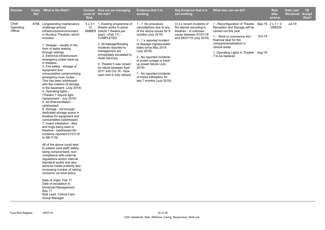| <b>Director</b>               | <b>Cross</b><br><b>Ref</b> | <b>What is the Risk?</b>                                                                                                                                                                                                                                                                                                                                                                                                                                                                                                                                                                                                                                                                                                                                                                                                                                                                                                                                                                                                                                                                                                                                                                                                                                                                     | <b>Risk</b> | Current How are we managing<br>Level of the risk?                                                                                                                                                                                                                                                                                                                                     | <b>Evidence that it is</b><br>working.                                                                                                                                                                                                                                                                                                                                              | Any Evidence that it is<br>not working.                                                                                              | What else can we do?                                                                                                                                                                                                                                                               |        | <b>Risk</b><br>after<br>actions | <b>Date Last</b><br>Reviewed | <b>TB</b><br><b>Accept</b><br>Risk? |
|-------------------------------|----------------------------|----------------------------------------------------------------------------------------------------------------------------------------------------------------------------------------------------------------------------------------------------------------------------------------------------------------------------------------------------------------------------------------------------------------------------------------------------------------------------------------------------------------------------------------------------------------------------------------------------------------------------------------------------------------------------------------------------------------------------------------------------------------------------------------------------------------------------------------------------------------------------------------------------------------------------------------------------------------------------------------------------------------------------------------------------------------------------------------------------------------------------------------------------------------------------------------------------------------------------------------------------------------------------------------------|-------------|---------------------------------------------------------------------------------------------------------------------------------------------------------------------------------------------------------------------------------------------------------------------------------------------------------------------------------------------------------------------------------------|-------------------------------------------------------------------------------------------------------------------------------------------------------------------------------------------------------------------------------------------------------------------------------------------------------------------------------------------------------------------------------------|--------------------------------------------------------------------------------------------------------------------------------------|------------------------------------------------------------------------------------------------------------------------------------------------------------------------------------------------------------------------------------------------------------------------------------|--------|---------------------------------|------------------------------|-------------------------------------|
| Chief<br>Operating<br>Officer |                            | 4706 Longstanding maintenance<br>challenge around<br>infrastructure/environment<br>in Nucleus Theatres, which<br>includes:<br>1. Sewage - usually in the<br>form of water leaking<br>through ceilings<br>2. Electrical infrastructure -<br>emergency power back-up<br>in theatres<br>3. Fire safety - storage of<br>equipment and<br>consumables compromising<br>emergency evac routes -<br>This has been addressed<br>with the creation of storage<br>in the basement. (July 2019)<br>4. Operating lights -<br>(Theatre 7 require light<br>replacement - July 2019)<br>5. Air-flow/ventilation -<br>(addressed)<br>6. Storage - not enough<br>dedicated storage space in<br>theatres for equipment and<br>consumables (addressed)<br>7. Insect infestation - flies<br>and bugs being seen in<br>theatres - (addressed No<br>incidents reported 01/01/19<br>to 08/-7/19)<br>All of the above could lead<br>to patient (and staff) safety<br>being compromised, non-<br>compliance with external<br>regulations and/or internal<br>standard/ audits and also<br>adverse media publicity and<br>increasing number of raising<br>concerns via local policy.<br>Date of origin: Feb 17<br>Date of escalation to<br>Divisional Management:<br>Sep 17<br>Risk Lead: Critical Care<br>Group Manager | 12          | $4 \times 3 = 1$ . Existing programme of<br>theatre works in place<br>AMBER (refurb 1 theatre per<br>year) - (Feb 17) -<br><b>COMPLETED</b><br>2. All leakage/flooding<br>incidents reported to<br>management are<br>immediately escalated to<br><b>Hotel Services</b><br>3. Theatre 5 was closed<br>for refurb between April<br>2017 and Oct 18 - Now<br>open and is fully utilised. | 1 - 7 No procedure<br>cancellations due to any<br>of the above issues for 6<br>months (July 2019)<br>1 - 1 x reported incident<br>of Sewage ingress/water<br>leaks since May 2019<br>(July 2019)<br>2 - No reported incidents<br>of power outage or back-<br>up power failure (July<br>2019)<br>7 - No reported incidents<br>of insect infestation for<br>last 7 months (July 2019) | 3) 3 x recent incidents of<br>fire alarms sounding in<br>theatres - of unknown<br>cause between 01/01/19<br>and 08/07/19 (July 2019) | 1 - Reconfiguration of Theatre Sep-19 $2 \times 1 = 2$<br>Reception and Storage will be<br>carried out this year<br>1 - Work to commence this<br>financial year for fire<br>compartmentalisation in<br>clinical areas<br>1. Operating Lights in Theatre Aug-19<br>7 to be replaced | Oct-19 | <b>GREEN</b>                    | <b>Jul-19</b>                |                                     |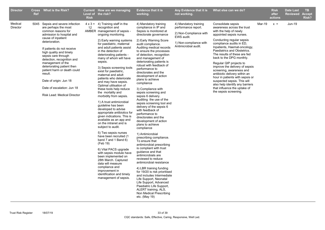| <b>Director</b>     | <b>Ref</b> | Cross What is the Risk?                                                                                                                                                                                                                                                                                                                                                                                                                                      | <b>Risk</b> | <b>Current</b> How are we managing<br>Level of the risk?                                                                                                                                                                                                                                                                                                                                                                                                                                                                                                                                                                                                                                                                                                                                                                                                                                                                                                                                                                                                    | <b>Evidence that it is</b><br>working.                                                                                                                                                                                                                                                                                                                                                                                                                                                                                                                                                                                                                                                                                                                                                                                                                                                                                                                                                                                                                                                                                                                                     | Any Evidence that it is<br>not working.                                                                                                | What else can we do?                                                                                                                                                                                                                                                                                                                                                                                                                                                                                                                                                               |               | <b>Risk</b><br>after<br>actions | <b>Date Last</b><br><b>Reviewed</b> | <b>TB</b><br><b>Accept</b><br>Risk? |
|---------------------|------------|--------------------------------------------------------------------------------------------------------------------------------------------------------------------------------------------------------------------------------------------------------------------------------------------------------------------------------------------------------------------------------------------------------------------------------------------------------------|-------------|-------------------------------------------------------------------------------------------------------------------------------------------------------------------------------------------------------------------------------------------------------------------------------------------------------------------------------------------------------------------------------------------------------------------------------------------------------------------------------------------------------------------------------------------------------------------------------------------------------------------------------------------------------------------------------------------------------------------------------------------------------------------------------------------------------------------------------------------------------------------------------------------------------------------------------------------------------------------------------------------------------------------------------------------------------------|----------------------------------------------------------------------------------------------------------------------------------------------------------------------------------------------------------------------------------------------------------------------------------------------------------------------------------------------------------------------------------------------------------------------------------------------------------------------------------------------------------------------------------------------------------------------------------------------------------------------------------------------------------------------------------------------------------------------------------------------------------------------------------------------------------------------------------------------------------------------------------------------------------------------------------------------------------------------------------------------------------------------------------------------------------------------------------------------------------------------------------------------------------------------------|----------------------------------------------------------------------------------------------------------------------------------------|------------------------------------------------------------------------------------------------------------------------------------------------------------------------------------------------------------------------------------------------------------------------------------------------------------------------------------------------------------------------------------------------------------------------------------------------------------------------------------------------------------------------------------------------------------------------------------|---------------|---------------------------------|-------------------------------------|-------------------------------------|
| Medical<br>Director |            | 5045 Sepsis and severe infection<br>are perhaps the most<br>common reasons for<br>admission to hospital and<br>cause of inpatient<br>deterioration.<br>If patients do not receive<br>high quality and timely<br>sepsis care through<br>detection, recognition and<br>management of the<br>deteriorating patient then<br>patient harm or death could<br>result.<br>Date of origin: Jun 18<br>Date of escalation: Jun 18<br><b>Risk Lead: Medical Director</b> | 12          | $4 \times 3 = 4$ ) Training staff in the<br>recognition and<br>AMBER management of sepsis -<br>ongoing monitoring.<br>2) Early warning systems<br>for paediatric, maternal<br>and adult patients assist<br>in the detection of<br>deteriorating patients -<br>many of whom will have<br>sepsis.<br>3) Sepsis screening tools<br>exist for paediatric,<br>maternal and adult<br>patients who deteriorate<br>and may have sepsis.<br>Optimal utilisation of<br>these tools help reduce<br>the mortality and<br>morbidity from sepsis.<br>1) A trust antimicrobial<br>guideline has been<br>developed to advise<br>appropriate antibiotics for<br>given indications. This is<br>available as an app and<br>on the intranet and is<br>subject to audit.<br>5) Two sepsis nurses<br>have been recruited (1<br>band 7 and 1 Band 6)<br>(Feb 19)<br>6) Vital PACS upgrade<br>with sepsis module have<br>been implemented on<br>28th March. Captured<br>data will measure<br>compliance and<br>improvement in<br>identification and timely<br>management of sepsis. | 4) Mandatory training<br>compliance in IP and<br>Sepsis is monitored at<br>directorate governance<br>2) Early Warning Score<br>audit compliance.<br>Auditing medical records<br>to ensure the processes<br>of detection, recognition<br>and management of<br>deteriorating patients is<br>robust with feedback of<br>performance to<br>directorates and the<br>development of action<br>plans to achieve<br>compliance<br>3) Compliance with<br>sepsis screening and<br>sepsis 6 delivery.<br>Auditing the use of the<br>sepsis screening tool and<br>delivery of the sepsis 6<br>with feedback of<br>performance to<br>directorates and the<br>development of action<br>plans to achieve<br>compliance<br>1) Antimicrobial<br>prescribing compliance.<br>To ensure that<br>antimicrobial prescribing<br>is compliant with trust<br>guidance and that<br>antimicrobials are<br>reviewed to reduce<br>antimicrobial resistance<br>4) LBR training funding<br>for 19/20 is risk prioritised<br>and includes Intermediate<br>Life Support, Neonatal<br>Life Support, Advanced<br>Paediatric Life Support,<br>ALERT training, ALS,<br>Non Medical Prescribing<br>etc. (May 19) | 4) Mandatory training<br>performance report.<br>2) Non-Compliance with<br>EWS audit.<br>1) Non-compliance with<br>Antimicrobial audit. | Consolidate sepsis<br>awareness across the trust<br>with the help of newly<br>appointed sepsis nurses.<br>Conducting regular sepsis<br>compliance audits in ED,<br>Inpatients, Haemat-oncology,<br>Paediatrics and Obstetrics.<br>The results of these are fed<br>back to the DPG monthly.<br>Regular QIP projects to<br>improve the delivery of sepsis<br>screening, awareness and<br>antibiotic delivery within an<br>hour in patients with sepsis or<br>suspected sepsis. This will<br>also help identify any barriers<br>that influence the uptake of<br>the sepsis screening. | <b>Mar-19</b> | $x =$                           | <b>Jun-19</b>                       |                                     |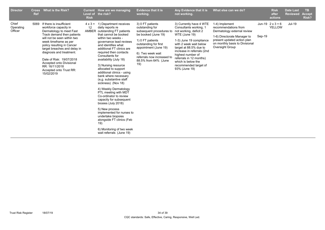| <b>Director</b>               | <b>Cross</b><br><b>Ref</b> | <b>What is the Risk?</b>                                                                                                                                                                                                                                                                                                                                                              | Level of<br><b>Risk</b> | Current How are we managing<br>the risk?                                                                                                                                                                                                                                                                                                                                                                                                                                                                                                                                                                                                                                                                                              | <b>Evidence that it is</b><br>working.                                                                                                                                                                                                        | Any Evidence that it is<br>not working.                                                                                                                                                                                                                                                                                   | What else can we do?                                                                                                                                                                     |        | <b>Risk</b><br>after<br>actions          | <b>Date Last</b><br><b>Reviewed</b> | <b>TB</b><br><b>Accept</b><br>Risk? |
|-------------------------------|----------------------------|---------------------------------------------------------------------------------------------------------------------------------------------------------------------------------------------------------------------------------------------------------------------------------------------------------------------------------------------------------------------------------------|-------------------------|---------------------------------------------------------------------------------------------------------------------------------------------------------------------------------------------------------------------------------------------------------------------------------------------------------------------------------------------------------------------------------------------------------------------------------------------------------------------------------------------------------------------------------------------------------------------------------------------------------------------------------------------------------------------------------------------------------------------------------------|-----------------------------------------------------------------------------------------------------------------------------------------------------------------------------------------------------------------------------------------------|---------------------------------------------------------------------------------------------------------------------------------------------------------------------------------------------------------------------------------------------------------------------------------------------------------------------------|------------------------------------------------------------------------------------------------------------------------------------------------------------------------------------------|--------|------------------------------------------|-------------------------------------|-------------------------------------|
| Chief<br>Operating<br>Officer |                            | 5069 If there is insufficient<br>workforce capacity in<br>Dermatology to meet Fast<br>Track demand then patients<br>will not be seen within two<br>week timeframe as per<br>policy resulting in Cancer<br>target breaches and delay in<br>diagnosis and treatment.<br>Date of Risk: 19/07/2018<br>Accepted onto Divisional<br>RR: 16/11/2018<br>Accepted onto Trust RR:<br>15/02/2019 | $4 \times 3 =$<br>12    | 1) Department receives<br>daily reports re<br>AMBER outstanding FT patients<br>that cannot be booked<br>within two weeks -<br>governance lead reviews<br>and identifies what<br>additional FT clinics are<br>required then contacts<br>Consultants for<br>availability (July 18)<br>3) Nursing resource<br>allocated to support<br>additional clinics - using<br>bank where necessary<br>(e,g. substantive staff<br>sickness) (Nov 18)<br>4) Weekly Dermatology<br>PTL meeting with MDT<br>Co-ordinator to review<br>capacity for subsequent<br>biosies (July 2018)<br>5) New process<br>implemented for nurses to<br>undertake biopsies<br>alongside FT clinics (Feb<br>19)<br>6) Monitoring of two week<br>wait referrals (June 19) | 3) 0 FT patients<br>outstanding for<br>subsequent procedures to<br>be booked (June 19)<br>1) 0 FT patients<br>outstanding for first<br>appointment (June 19)<br>6) Two week wait<br>referrals now increased to<br>88.5% from 64% (June<br>19) | 3) Currently have 4 WTE<br>Consultants working, 1<br>not working, deficit 2<br>WTE (June 19)<br>1-3) June 19 compliance<br>with 2 week wait below<br>target at 88.5% due to<br>increase in referrals (2nd<br>highest number of<br>referrals in 12 months)<br>which is below the<br>recommended target of<br>93% (June 19) | 1-4) Implement<br>recommendations from<br>Dermatology external review<br>1-6) Directorate Manager to<br>present updated action plan<br>on monthly basis to Divisional<br>Oversight Group | Sep-19 | Jun-19 $2 \times 3 = 6$<br><b>YELLOW</b> | Jul-19                              |                                     |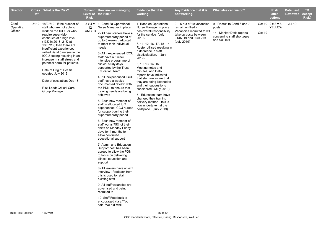| <b>Director</b>               | <b>Ref</b> | Cross What is the Risk?                                                                                                                                                                                                                                                                                                                                                                                                                                                                      | <b>Risk</b> | Current How are we managing<br>Level of the risk?                                                                                                                                                                                                                                                                                                                                                                                                                                                                                                                                                                                                                                                                                                                                                                                                                                                                                                                                                                                                                                                                                                                                            | <b>Evidence that it is</b><br>working.                                                                                                                                                                                                                                                                                                                                                                                                                                                                                                                                                  | Any Evidence that it is<br>not working.                                                                                                        | What else can we do?                                                                                              |        | <b>Risk</b><br>after<br>actions   | <b>Date Last</b><br><b>Reviewed</b> | <b>TB</b><br><b>Accept</b><br>Risk? |
|-------------------------------|------------|----------------------------------------------------------------------------------------------------------------------------------------------------------------------------------------------------------------------------------------------------------------------------------------------------------------------------------------------------------------------------------------------------------------------------------------------------------------------------------------------|-------------|----------------------------------------------------------------------------------------------------------------------------------------------------------------------------------------------------------------------------------------------------------------------------------------------------------------------------------------------------------------------------------------------------------------------------------------------------------------------------------------------------------------------------------------------------------------------------------------------------------------------------------------------------------------------------------------------------------------------------------------------------------------------------------------------------------------------------------------------------------------------------------------------------------------------------------------------------------------------------------------------------------------------------------------------------------------------------------------------------------------------------------------------------------------------------------------------|-----------------------------------------------------------------------------------------------------------------------------------------------------------------------------------------------------------------------------------------------------------------------------------------------------------------------------------------------------------------------------------------------------------------------------------------------------------------------------------------------------------------------------------------------------------------------------------------|------------------------------------------------------------------------------------------------------------------------------------------------|-------------------------------------------------------------------------------------------------------------------|--------|-----------------------------------|-------------------------------------|-------------------------------------|
| Chief<br>Operating<br>Officer |            | 5112 18/07/19 - If the number of<br>staff who are not able to<br>work on the ICCU or who<br>require supervision<br>continues at a high level<br>(13% in 2018-21% at<br>18/07/19) then there are<br>insufficient experienced<br>skilled Band 5 nurses in the<br>ICCU setting resulting in an<br>increase in staff stress and<br>potential harm for patients.<br>Date of Origin: Oct 18<br>updated July 2019<br>Date of escalation: Dec 18<br><b>Risk Lead: Critical Care</b><br>Group Manager | 12<br>AMBER | $3 \times 4 = 1$ - Band 8a Operational<br>Nurse Manager in place<br>2- All new starters have a<br>supernumerary period of<br>up to 6 weeks, adjusted<br>to meet their individual<br>needs<br>3- All inexperienced ICCU<br>staff have a 6 week<br>intensive programme of<br>clinical study days,<br>supported by the Trust<br><b>Education Team</b><br>4- All inexperienced ICCU<br>staff have a weekly<br>documented review, with<br>the PDN, to ensure that<br>training needs are being<br>achieved<br>5- Each new member of<br>staff is allocated to 2<br>experienced ICCU nurses<br>for support during their<br>supernumerary period<br>6- Each new member of<br>staff works 75% of their<br>shifts on Monday-Friday<br>days for 4 months to<br>allow continued<br>educational support<br>7- Admin and Education<br>Support post has been<br>agreed to allow the PDN<br>to focus on delivering<br>clinical education and<br>support<br>8- All leavers have an exit<br>interview - feedback from<br>this is used to retain<br>existing staff<br>9- All staff vacancies are<br>advertised and being<br>recruited to<br>10- Staff Feedback is<br>encouraged via a 'You<br>said, We did' wall | 1- Band 8a Operational<br>Nurse Manager in place<br>has overall responsibility<br>for the service (July<br>2019)<br>6, 11, 12, 16, 17, 18 - e-<br>Roster utilised resulting in<br>a decrease in staff<br>disatissfaction. (July<br>2019)<br>8, 10, 13, 14, 15 -<br>Meeting notes and<br>minutes, and Datix<br>reports have indicated<br>that staff are aware that<br>they are being listened to<br>and their suggestions<br>considered. (July 2019)<br>7 - Education team have<br>changed their training<br>delivery method - this is<br>now undertaken at the<br>bedspace. (July 2019) | 9 - 5 out of 10 vacancies<br>remain unfilled -<br>Vacancies recruited to will<br>take up posts between<br>01/07/19 and 30/09/19<br>(July 2019) | 9 - Recruit to Band 6 and 7<br>posts<br>14 - Monitor Datix reports<br>concerning staff shortages<br>and skill mix | Oct-19 | Oct-19 $2 \times 3 = 6$<br>YELLOW | <b>Jul-19</b>                       |                                     |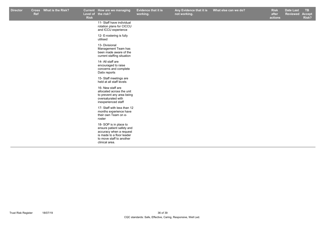| <b>Ref</b> | Cross What is the Risk? | <b>Risk</b> | Current How are we managing<br>Level of the risk?                                                                                                         | Evidence that it is<br>working. | Any Evidence that it is<br>not working. | What else can we do? | <b>Risk</b><br>after<br>actions | <b>Date Last</b><br>Reviewed | TB<br><b>Accept</b><br>Risk? |
|------------|-------------------------|-------------|-----------------------------------------------------------------------------------------------------------------------------------------------------------|---------------------------------|-----------------------------------------|----------------------|---------------------------------|------------------------------|------------------------------|
|            |                         |             | 11- Staff have individual<br>rotation plans for CICCU<br>and ICCU experience                                                                              |                                 |                                         |                      |                                 |                              |                              |
|            |                         |             | 12- E-rostering is fully<br>utilised                                                                                                                      |                                 |                                         |                      |                                 |                              |                              |
|            |                         |             | 13- Divisional<br>Management Team has<br>been made aware of the<br>current staffing situation                                                             |                                 |                                         |                      |                                 |                              |                              |
|            |                         |             | 14- All staff are<br>encouraged to raise<br>concerns and complete<br>Datix reports                                                                        |                                 |                                         |                      |                                 |                              |                              |
|            |                         |             | 15- Staff meetings are<br>held at all staff levels                                                                                                        |                                 |                                         |                      |                                 |                              |                              |
|            |                         |             | 16- New staff are<br>allocated across the unit<br>to prevent any area being<br>oversaturated with<br>inexperienced staff                                  |                                 |                                         |                      |                                 |                              |                              |
|            |                         |             | 17- Staff with less than 12<br>months experience have<br>their own Team on e-<br>roster                                                                   |                                 |                                         |                      |                                 |                              |                              |
|            |                         |             | 18- SOP is in place to<br>ensure patient safety and<br>accuracy when a request<br>is made to a floor leader<br>to move staff to another<br>clinical area. |                                 |                                         |                      |                                 |                              |                              |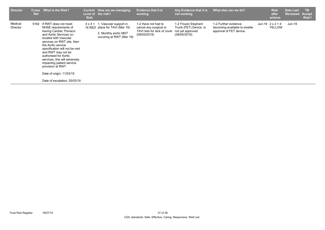| Medical<br>5182 If RWT does not meet<br>1-2 Have not had to<br>1-2 Frozen Elephant<br>1-2 Further evidence<br>Jun-19 $2 \times 2 = 4$<br>Jun-19<br>1. Vascular support in<br>$4 \times 4 =$<br>YELLOW<br>16 RED place for TAVI (Mar 19)<br>Trunk (FET) Device is<br>NHSE requirements of<br>becoming available to enable<br>Director<br>cancel any surgical or<br>having Cardiac Thoracic<br>TAVI lists for lack of cover<br>approval of FET device.<br>not yet approved<br>2. Monthly aortic MDT<br>and Aortic Services co-<br>(08/05/2019)<br>(08/05/2019)<br>occuring at RWT (Mar 19)<br>located with Vascular<br>services on RWT site, then<br>the Aortic service<br>specification will not be met<br>and RWT may not be<br>authorised for Aortic<br>services, this will adversely<br>impacting patient service<br>provision at RWT.<br>Date of origin: 11/03/19<br>Date of escalation: 25/03/19 | <b>Director</b> | <b>Cross</b><br>Ref | What is the Risk? | <b>Risk</b> | Current How are we managing<br>Level of the risk? | <b>Evidence that it is</b><br>working. | Any Evidence that it is<br>not working. | What else can we do? | <b>Risk</b><br>after<br>actions | Date Last<br><b>Reviewed</b> | <b>TB</b><br><b>Accept</b><br>Risk? |
|------------------------------------------------------------------------------------------------------------------------------------------------------------------------------------------------------------------------------------------------------------------------------------------------------------------------------------------------------------------------------------------------------------------------------------------------------------------------------------------------------------------------------------------------------------------------------------------------------------------------------------------------------------------------------------------------------------------------------------------------------------------------------------------------------------------------------------------------------------------------------------------------------|-----------------|---------------------|-------------------|-------------|---------------------------------------------------|----------------------------------------|-----------------------------------------|----------------------|---------------------------------|------------------------------|-------------------------------------|
|                                                                                                                                                                                                                                                                                                                                                                                                                                                                                                                                                                                                                                                                                                                                                                                                                                                                                                      |                 |                     |                   |             |                                                   |                                        |                                         |                      |                                 |                              |                                     |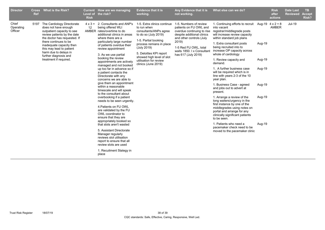| <b>Director</b>               | <b>Cross</b><br><b>Ref</b> | <b>What is the Risk?</b>                                                                                                                                                                                                                                                                                          | <b>Risk</b> | Current How are we managing<br>Level of the risk?                                                                                                                                                                                                                                                                                                                                                                                                                                                                                                                                                                                                                                                                                                                                                                                                                                                                                                     | <b>Evidence that it is</b><br>working.                                                                                                                                                                                                                                   | Any Evidence that it is<br>not working.                                                                                                                                                                                       | What else can we do?                                                                                                                                                                                                                                                                                                                                                                                                                                                                                                                                                                                                                                                                                                                                                                                            |                                                          | <b>Risk</b><br>after<br>actions | <b>Date Last</b><br><b>Reviewed</b> | <b>TB</b><br><b>Accept</b><br>Risk? |
|-------------------------------|----------------------------|-------------------------------------------------------------------------------------------------------------------------------------------------------------------------------------------------------------------------------------------------------------------------------------------------------------------|-------------|-------------------------------------------------------------------------------------------------------------------------------------------------------------------------------------------------------------------------------------------------------------------------------------------------------------------------------------------------------------------------------------------------------------------------------------------------------------------------------------------------------------------------------------------------------------------------------------------------------------------------------------------------------------------------------------------------------------------------------------------------------------------------------------------------------------------------------------------------------------------------------------------------------------------------------------------------------|--------------------------------------------------------------------------------------------------------------------------------------------------------------------------------------------------------------------------------------------------------------------------|-------------------------------------------------------------------------------------------------------------------------------------------------------------------------------------------------------------------------------|-----------------------------------------------------------------------------------------------------------------------------------------------------------------------------------------------------------------------------------------------------------------------------------------------------------------------------------------------------------------------------------------------------------------------------------------------------------------------------------------------------------------------------------------------------------------------------------------------------------------------------------------------------------------------------------------------------------------------------------------------------------------------------------------------------------------|----------------------------------------------------------|---------------------------------|-------------------------------------|-------------------------------------|
| Chief<br>Operating<br>Officer |                            | 5197 The Cardiology Directorate<br>does not have enough<br>outpatient capacity to see<br>review patients by the date<br>the doctor has requested. If<br>there continues to be<br>inadequate capacity then<br>this may lead to patient<br>harm due to delays in<br>further diagnosis and<br>treatment if required. | 12          | $4 \times 3 = 2$ . Consultants and ANP's<br>being offered WLI<br>AMBER rates/overtime to do<br>additional clinics in areas<br>where there are a<br>particularly large number<br>of patients overdue their<br>review appointment<br>3. As we use partial<br>booking the review<br>appointments are actively<br>managed and not booked<br>up too far in advance so if<br>a patient contacts the<br>Directorate with any<br>concerns we are able to<br>give them an appointment<br>within a reasonable<br>timescale and will speak<br>to the consultant about<br>overbooking if a patient<br>needs to be seen urgently.<br>4. Patients on FU OWL<br>are validated by the FU<br>OWL coordinator to<br>ensure that they are<br>appropriately booked so<br>that slots aren't wasted<br>5. Assistant Directorate<br>Manager regularly<br>reviews slot utilisation<br>report to ensure that all<br>review slots are used<br>1. Recuitment Stategy in<br>place | 1-5. Extra clinics continue<br>to run when<br>consultants/ANPs agree<br>to do so (July 2019)<br>1-5. Partial booking<br>process remians in place<br>(July 2019)<br>5. Deloittes KPI report<br>showed high level of slot<br>utilisation for review<br>clinics (June 2019) | 1-5. Numbers of review<br>patients on FU OWL and<br>overdue continuing to rise<br>despite additional clinics<br>and other controls (July<br>2019)<br>1-5 Red FU OWL, total<br>waits 1850. Lx Consultan<br>has 617 (July 2019) | 1. Continuing efforts to recruit Aug-19 $4 \times 2 = 8$<br>into vacant<br>registrar/middlegrade posts<br>will increase review capacity<br>within standard job plans<br>1. Extra consultant posts<br>being recruited into to<br>increase OP capacity across<br>whole of cardiology<br>1. Review capacity and<br>demand.<br>1. A further business case<br>will be required which is in<br>line with years 2-3 of the 10<br>year plan.<br>1. Business Case - agreed<br>and jobs out to advert at<br>present.<br>1. Arrange a review of the<br>long waiters/urgency in the<br>first instance by one of the<br>middlegrades using notes on<br>portal and arrange for any<br>clinically significant patients<br>to be seen.<br>1. Patients who need a<br>pacemaker check need to be<br>moved to the pacemaker clinic | Aug-19<br>Aug-19<br>Aug-19<br>Aug-19<br>Aug-19<br>Aug-19 | AMBER                           | Jul-19                              |                                     |